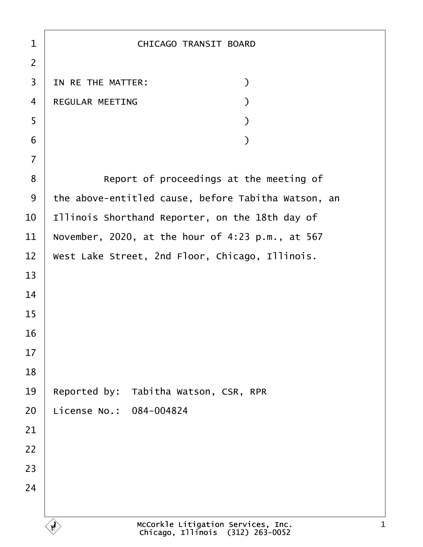| 1              | <b>CHICAGO TRANSIT BOARD</b>                        |
|----------------|-----------------------------------------------------|
| $\overline{2}$ |                                                     |
| 3              | IN RE THE MATTER:<br>$\mathcal{E}$                  |
| $\overline{4}$ | <b>REGULAR MEETING</b>                              |
| 5              |                                                     |
| 6              |                                                     |
| $\overline{7}$ |                                                     |
| 8              | Report of proceedings at the meeting of             |
| 9              | the above-entitled cause, before Tabitha Watson, an |
| 10             | Illinois Shorthand Reporter, on the 18th day of     |
| 11             | November, 2020, at the hour of 4:23 p.m., at 567    |
| 12             | West Lake Street, 2nd Floor, Chicago, Illinois.     |
| 13             |                                                     |
| 14             |                                                     |
| 15             |                                                     |
| 16             |                                                     |
| 17             |                                                     |
| 18             |                                                     |
| 19             | Reported by: Tabitha Watson, CSR, RPR               |
| 20             | License No.: 084-004824                             |
| 21             |                                                     |
| 22             |                                                     |
| 23             |                                                     |
| 24             |                                                     |
|                |                                                     |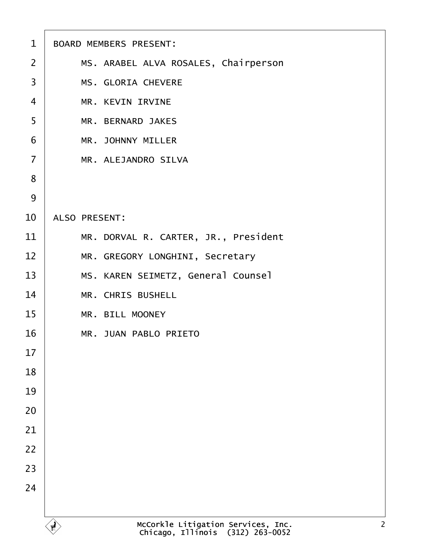| $\mathbf 1$    | <b>BOARD MEMBERS PRESENT:</b>        |
|----------------|--------------------------------------|
| 2              | MS. ARABEL ALVA ROSALES, Chairperson |
| 3              | <b>MS. GLORIA CHEVERE</b>            |
| 4              | <b>MR. KEVIN IRVINE</b>              |
| 5              | <b>MR. BERNARD JAKES</b>             |
| 6              | <b>MR. JOHNNY MILLER</b>             |
| $\overline{7}$ | <b>MR. ALEJANDRO SILVA</b>           |
| 8              |                                      |
| 9              |                                      |
| 10             | <b>ALSO PRESENT:</b>                 |
| 11             | MR. DORVAL R. CARTER, JR., President |
| 12             | MR. GREGORY LONGHINI, Secretary      |
| 13             | MS. KAREN SEIMETZ, General Counsel   |
| 14             | <b>MR. CHRIS BUSHELL</b>             |
| 15             | <b>MR. BILL MOONEY</b>               |
| 16             | <b>MR. JUAN PABLO PRIETO</b>         |
| 17             |                                      |
| 18             |                                      |
| 19             |                                      |
| 20             |                                      |
| 21             |                                      |
| 22             |                                      |
| 23             |                                      |
| 24             |                                      |
|                |                                      |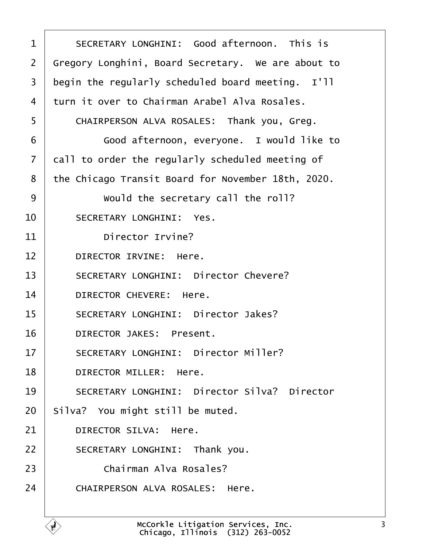<span id="page-2-0"></span>

| 1              | SECRETARY LONGHINI: Good afternoon. This is         |
|----------------|-----------------------------------------------------|
| $\overline{2}$ | Gregory Longhini, Board Secretary. We are about to  |
| 3              | begin the regularly scheduled board meeting. I'll   |
| 4              | turn it over to Chairman Arabel Alva Rosales.       |
| 5              | CHAIRPERSON ALVA ROSALES: Thank you, Greg.          |
| 6              | Good afternoon, everyone. I would like to           |
| $\overline{7}$ | dall to order the regularly scheduled meeting of    |
| 8              | the Chicago Transit Board for November 18th, 2020.  |
| 9              | Would the secretary call the roll?                  |
| 10             | <b>SECRETARY LONGHINI: Yes.</b>                     |
| 11             | Director Irvine?                                    |
| 12             | <b>DIRECTOR IRVINE: Here.</b>                       |
| 13             | <b>SECRETARY LONGHINI: Director Chevere?</b>        |
| 14             | DIRECTOR CHEVERE: Here.                             |
| 15             | <b>SECRETARY LONGHINI: Director Jakes?</b>          |
| 16             | <b>DIRECTOR JAKES: Present.</b>                     |
| 17             | <b>SECRETARY LONGHINI: Director Miller?</b>         |
| 18             | DIRECTOR MILLER: Here.                              |
| 19             | <b>SECRETARY LONGHINI: Director Silva? Director</b> |
| 20             | Silva? You might still be muted.                    |
| 21             | <b>DIRECTOR SILVA: Here.</b>                        |
| 22             | SECRETARY LONGHINI: Thank you.                      |
| 23             | Chairman Alva Rosales?                              |
| 24             | <b>CHAIRPERSON ALVA ROSALES: Here.</b>              |
|                |                                                     |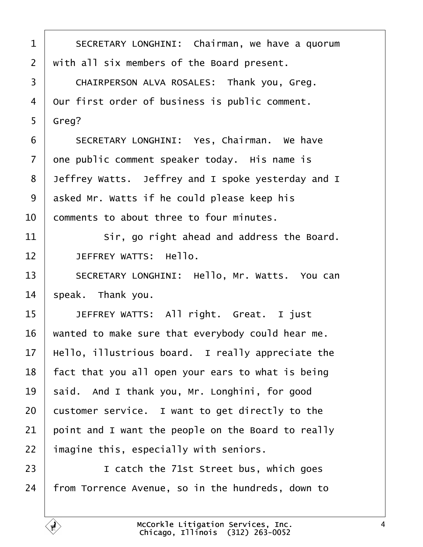<span id="page-3-0"></span>1 | SECRETARY LONGHINI: Chairman, we have a quorum 2 with all six members of the Board present. 3 | CHAIRPERSON ALVA ROSALES: Thank you, Greg. 4 Our first order of business is public comment. 5 Greg? 6 | SECRETARY LONGHINI: Yes, Chairman. We have 7 dne public comment speaker today. His name is 8 Jeffrey Watts. Jeffrey and I spoke yesterday and I 9 asked Mr. Watts if he could please keep his 10 **comments to about three to four minutes.** 11 **Sir, go right ahead and address the Board.** 12 | JEFFREY WATTS: Hello. 13 | SECRETARY LONGHINI: Hello, Mr. Watts. You can 14 speak. Thank you. 15 | JEFFREY WATTS: All right. Great. I just 16 wanted to make sure that everybody could hear me. 17 Hello, illustrious board. I really appreciate the 18 fact that you all open your ears to what is being 19 said. And I thank you, Mr. Longhini, for good 20 customer service. I want to get directly to the 21 boint and I want the people on the Board to really 22 imagine this, especially with seniors. 23 **I** I catch the 71st Street bus, which goes 24 from Torrence Avenue, so in the hundreds, down to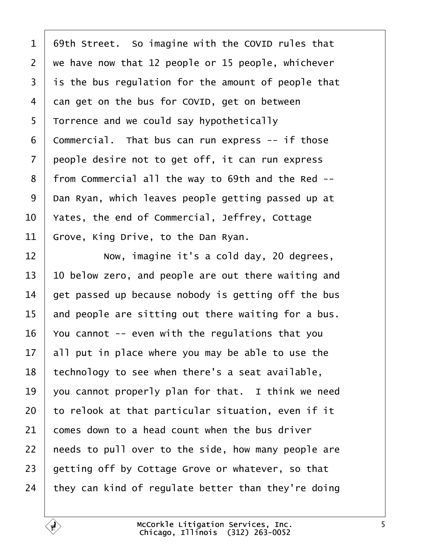<span id="page-4-0"></span>

| 1              | 69th Street. So imagine with the COVID rules that   |
|----------------|-----------------------------------------------------|
| $\overline{2}$ | we have now that 12 people or 15 people, whichever  |
| 3              | is the bus regulation for the amount of people that |
| 4              | dan get on the bus for COVID, get on between        |
| 5              | Torrence and we could say hypothetically            |
| 6              | Commercial. That bus can run express -- if those    |
| $\overline{7}$ | people desire not to get off, it can run express    |
| 8              | from Commercial all the way to 69th and the Red --  |
| 9              | Dan Ryan, which leaves people getting passed up at  |
| 10             | Yates, the end of Commercial, Jeffrey, Cottage      |
| 11             | Grove, King Drive, to the Dan Ryan.                 |
| 12             | Now, imagine it's a cold day, 20 degrees,           |
| 13             | 10 below zero, and people are out there waiting and |
| 14             | get passed up because nobody is getting off the bus |
| 15             | and people are sitting out there waiting for a bus. |
| 16             | You cannot -- even with the regulations that you    |
| 17             | all put in place where you may be able to use the   |
| 18             | technology to see when there's a seat available,    |
| 19             | you cannot properly plan for that. I think we need  |
| 20             | to relook at that particular situation, even if it  |
| 21             | comes down to a head count when the bus driver      |
| 22             | heeds to pull over to the side, how many people are |
| 23             | getting off by Cottage Grove or whatever, so that   |
| 24             | they can kind of regulate better than they're doing |
|                |                                                     |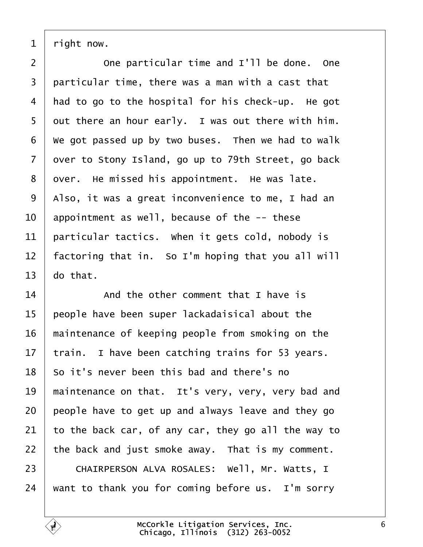<span id="page-5-0"></span>1 right now.

2 **Come particular time and I'll be done.** One 3 particular time, there was a man with a cast that 4 had to go to the hospital for his check-up. He got 5 dut there an hour early. I was out there with him. 6 We got passed up by two buses. Then we had to walk 7 dyer to Stony Island, go up to 79th Street, go back 8 dyer. He missed his appointment. He was late. 9 Also, it was a great inconvenience to me, I had an 10 appointment as well, because of the -- these 11 **particular tactics.** When it gets cold, nobody is 12 factoring that in. So I'm hoping that you all will 13  $\,$  do that.  $14$   $\parallel$  And the other comment that I have is 15 people have been super lackadaisical about the 16 maintenance of keeping people from smoking on the 17 train. I have been catching trains for 53 years. 18 So it's never been this bad and there's no 19 maintenance on that. It's very, very, very bad and 20 people have to get up and always leave and they go 21 to the back car, of any car, they go all the way to 22 the back and just smoke away. That is my comment. 23 | CHAIRPERSON ALVA ROSALES: Well, Mr. Watts, I 24 want to thank you for coming before us. I'm sorry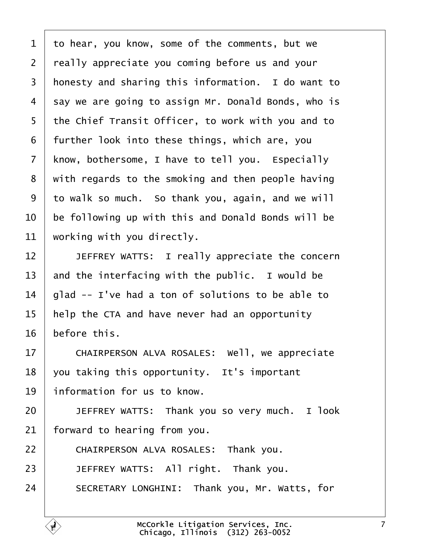<span id="page-6-0"></span>

| 1              | to hear, you know, some of the comments, but we     |
|----------------|-----------------------------------------------------|
| 2              | really appreciate you coming before us and your     |
| 3              | honesty and sharing this information. I do want to  |
| 4              | say we are going to assign Mr. Donald Bonds, who is |
| 5              | the Chief Transit Officer, to work with you and to  |
| 6              | further look into these things, which are, you      |
| $\overline{7}$ | know, bothersome, I have to tell you. Especially    |
| 8              | with regards to the smoking and then people having  |
| 9              | to walk so much. So thank you, again, and we will   |
| 10             | be following up with this and Donald Bonds will be  |
| 11             | working with you directly.                          |
| 12             | JEFFREY WATTS: I really appreciate the concern      |
| 13             | and the interfacing with the public. I would be     |
| 14             | glad -- I've had a ton of solutions to be able to   |
| 15             | help the CTA and have never had an opportunity      |
| 16             | before this.                                        |
| 17             | CHAIRPERSON ALVA ROSALES: Well, we appreciate       |
| 18             | you taking this opportunity. It's important         |
| 19             | information for us to know.                         |
| 20             | JEFFREY WATTS: Thank you so very much. I look       |
| 21             | forward to hearing from you.                        |
| 22             | CHAIRPERSON ALVA ROSALES: Thank you.                |
| 23             | JEFFREY WATTS: All right. Thank you.                |
| 24             | SECRETARY LONGHINI: Thank you, Mr. Watts, for       |
|                |                                                     |

 $\sqrt{ }$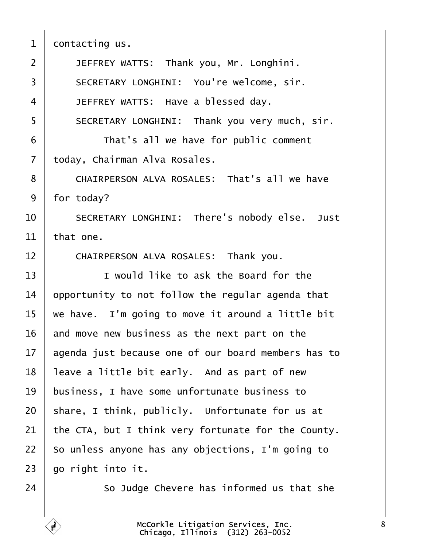<span id="page-7-0"></span>

| $\mathbf 1$    | dontacting us.                                      |
|----------------|-----------------------------------------------------|
| $\overline{2}$ | JEFFREY WATTS: Thank you, Mr. Longhini.             |
| 3              | SECRETARY LONGHINI: You're welcome, sir.            |
| 4              | JEFFREY WATTS: Have a blessed day.                  |
| 5              | SECRETARY LONGHINI: Thank you very much, sir.       |
| 6              | That's all we have for public comment               |
| $\overline{7}$ | today, Chairman Alva Rosales.                       |
| 8              | CHAIRPERSON ALVA ROSALES: That's all we have        |
| 9              | for today?                                          |
| 10             | SECRETARY LONGHINI: There's nobody else. Just       |
| 11             | that one.                                           |
| 12             | CHAIRPERSON ALVA ROSALES: Thank you.                |
| 13             | I would like to ask the Board for the               |
| 14             | opportunity to not follow the regular agenda that   |
| 15             | we have. I'm going to move it around a little bit   |
| 16             | and move new business as the next part on the       |
| 17             | agenda just because one of our board members has to |
| 18             | leave a little bit early. And as part of new        |
| 19             | business, I have some unfortunate business to       |
| 20             | share, I think, publicly. Unfortunate for us at     |
| 21             | the CTA, but I think very fortunate for the County. |
| 22             | So unless anyone has any objections, I'm going to   |
| 23             | go right into it.                                   |
| 24             | So Judge Chevere has informed us that she           |
|                |                                                     |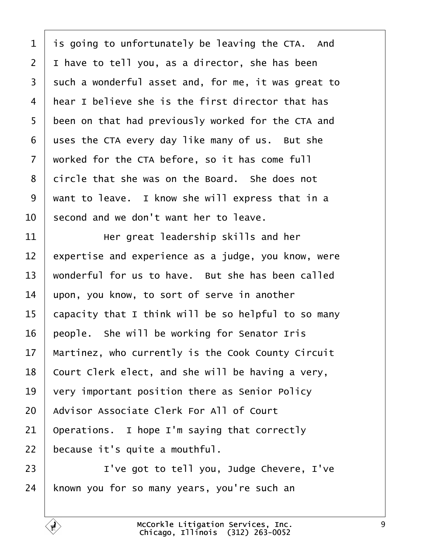<span id="page-8-0"></span>

| 1               |                                                     |
|-----------------|-----------------------------------------------------|
|                 | is going to unfortunately be leaving the CTA. And   |
| $\overline{2}$  | I have to tell you, as a director, she has been     |
| 3               | such a wonderful asset and, for me, it was great to |
| 4               | hear I believe she is the first director that has   |
| 5               | been on that had previously worked for the CTA and  |
| 6               | uses the CTA every day like many of us. But she     |
| 7               | worked for the CTA before, so it has come full      |
| 8               | dircle that she was on the Board. She does not      |
| 9               | want to leave. I know she will express that in a    |
| 10              | second and we don't want her to leave.              |
| 11              | Her great leadership skills and her                 |
| 12 <sub>2</sub> | expertise and experience as a judge, you know, were |
| 13              | wonderful for us to have. But she has been called   |
| 14              | upon, you know, to sort of serve in another         |
| 15              | capacity that I think will be so helpful to so many |
| 16              | people. She will be working for Senator Iris        |
| 17              | Martinez, who currently is the Cook County Circuit  |
| 18              | Court Clerk elect, and she will be having a very,   |
| 19              | very important position there as Senior Policy      |
| 20              | Advisor Associate Clerk For All of Court            |
| 21              | Operations. I hope I'm saying that correctly        |
| 22              | because it's quite a mouthful.                      |
| 23              | I've got to tell you, Judge Chevere, I've           |
| 24              | known you for so many years, you're such an         |
|                 |                                                     |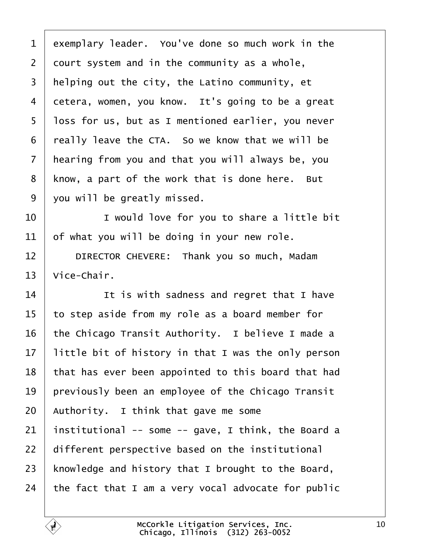<span id="page-9-0"></span>

| 1              | exemplary leader. You've done so much work in the   |
|----------------|-----------------------------------------------------|
| $\overline{2}$ | dourt system and in the community as a whole,       |
| 3              | Helping out the city, the Latino community, et      |
| 4              | detera, women, you know. It's going to be a great   |
| 5              | loss for us, but as I mentioned earlier, you never  |
| 6              | really leave the CTA. So we know that we will be    |
| 7              | hearing from you and that you will always be, you   |
| 8              | know, a part of the work that is done here. But     |
| 9              | you will be greatly missed.                         |
| 10             | I would love for you to share a little bit          |
| 11             | of what you will be doing in your new role.         |
| 12             | DIRECTOR CHEVERE: Thank you so much, Madam          |
| 13             | Vice-Chair.                                         |
| 14             | It is with sadness and regret that I have           |
| 15             | to step aside from my role as a board member for    |
| 16             | the Chicago Transit Authority. I believe I made a   |
| 17             | little bit of history in that I was the only person |
| 18             | that has ever been appointed to this board that had |
| 19             | previously been an employee of the Chicago Transit  |
| 20             | Authority. I think that gave me some                |
| 21             | institutional -- some -- gave, I think, the Board a |
| 22             | different perspective based on the institutional    |
| 23             | knowledge and history that I brought to the Board,  |
| 24             | the fact that I am a very vocal advocate for public |
|                |                                                     |

 $\lceil$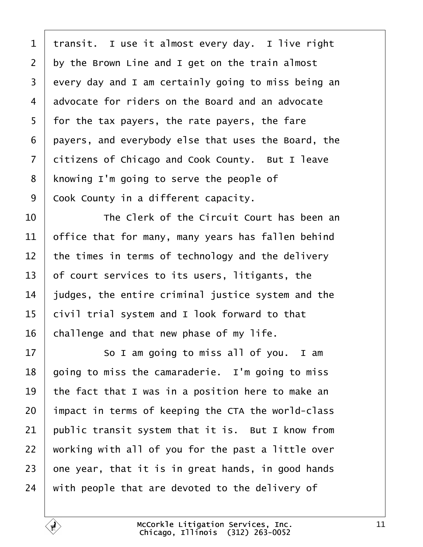<span id="page-10-0"></span>

| 1              | transit. I use it almost every day. I live right    |
|----------------|-----------------------------------------------------|
| $\overline{2}$ | by the Brown Line and I get on the train almost     |
| 3              | every day and I am certainly going to miss being an |
| 4              | advocate for riders on the Board and an advocate    |
| 5              | for the tax payers, the rate payers, the fare       |
| 6              | payers, and everybody else that uses the Board, the |
| $\overline{7}$ | ditizens of Chicago and Cook County. But I leave    |
| 8              | knowing I'm going to serve the people of            |
| 9              | Cook County in a different capacity.                |
| 10             | The Clerk of the Circuit Court has been an          |
| 11             | office that for many, many years has fallen behind  |
| 12             | the times in terms of technology and the delivery   |
| 13             | of court services to its users, litigants, the      |
| 14             | judges, the entire criminal justice system and the  |
| 15             | civil trial system and I look forward to that       |
| 16             | challenge and that new phase of my life.            |
| 17             | So I am going to miss all of you. I am              |
| 18             | going to miss the camaraderie. I'm going to miss    |
| 19             | the fact that I was in a position here to make an   |
| 20             | impact in terms of keeping the CTA the world-class  |
| 21             | public transit system that it is. But I know from   |
| 22             | working with all of you for the past a little over  |
| 23             | one year, that it is in great hands, in good hands  |
| 24             | with people that are devoted to the delivery of     |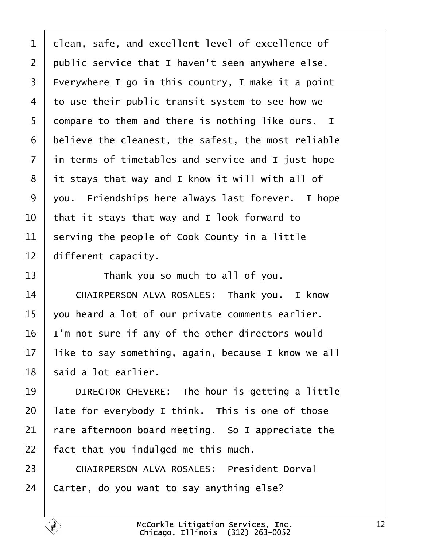<span id="page-11-0"></span>

| 1              | dlean, safe, and excellent level of excellence of   |
|----------------|-----------------------------------------------------|
| $\overline{2}$ | public service that I haven't seen anywhere else.   |
| 3              | Everywhere I go in this country, I make it a point  |
| 4              | to use their public transit system to see how we    |
| 5              | dompare to them and there is nothing like ours. I   |
| 6              | believe the cleanest, the safest, the most reliable |
| $\overline{7}$ | in terms of timetables and service and I just hope  |
| 8              | it stays that way and I know it will with all of    |
| 9              | you. Friendships here always last forever. I hope   |
| 10             | that it stays that way and I look forward to        |
| 11             | serving the people of Cook County in a little       |
| 12             | different capacity.                                 |
| 13             | Thank you so much to all of you.                    |
| 14             | CHAIRPERSON ALVA ROSALES: Thank you. I know         |
| 15             | you heard a lot of our private comments earlier.    |
| 16             | 'm not sure if any of the other directors would     |
| 17             | like to say something, again, because I know we all |
| 18             | said a lot earlier.                                 |
| 19             | DIRECTOR CHEVERE: The hour is getting a little      |
| 20             | late for everybody I think. This is one of those    |
| 21             | fare afternoon board meeting. So I appreciate the   |
| 22             | fact that you indulged me this much.                |
| 23             | <b>CHAIRPERSON ALVA ROSALES: President Dorval</b>   |
| 24             | Carter, do you want to say anything else?           |
|                |                                                     |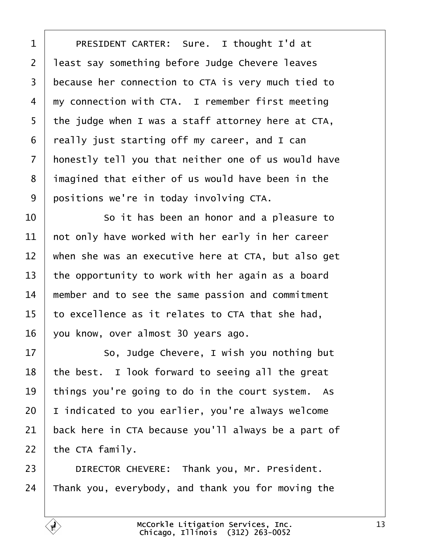<span id="page-12-0"></span>

| 1              | PRESIDENT CARTER: Sure. I thought I'd at            |
|----------------|-----------------------------------------------------|
| $\overline{2}$ | least say something before Judge Chevere leaves     |
| 3              | because her connection to CTA is very much tied to  |
| 4              | my connection with CTA. I remember first meeting    |
| 5              | the judge when I was a staff attorney here at CTA,  |
| 6              | really just starting off my career, and I can       |
| 7              | honestly tell you that neither one of us would have |
| 8              | imagined that either of us would have been in the   |
| 9              | positions we're in today involving CTA.             |
| 10             | So it has been an honor and a pleasure to           |
| 11             | not only have worked with her early in her career   |
| 12             | when she was an executive here at CTA, but also get |
| 13             | the opportunity to work with her again as a board   |
| 14             | member and to see the same passion and commitment   |
| 15             | to excellence as it relates to CTA that she had,    |
| 16             | you know, over almost 30 years ago.                 |
| 17             | So, Judge Chevere, I wish you nothing but           |
| 18             | the best. I look forward to seeing all the great    |
| 19             | things you're going to do in the court system. As   |
| 20             | indicated to you earlier, you're always welcome     |
| 21             | back here in CTA because you'll always be a part of |
| 22             | the CTA family.                                     |
| 23             | DIRECTOR CHEVERE: Thank you, Mr. President.         |
| 24             | Thank you, everybody, and thank you for moving the  |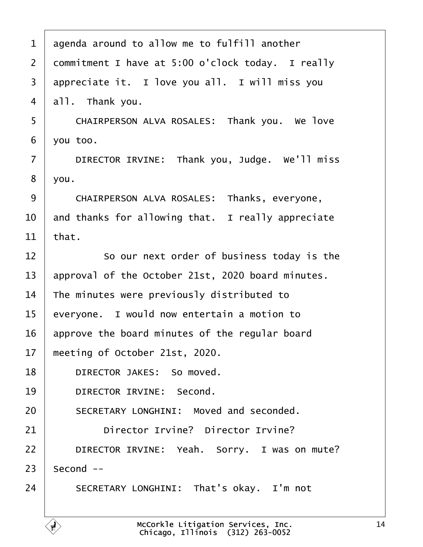<span id="page-13-0"></span>

| 1              | agenda around to allow me to fulfill another      |
|----------------|---------------------------------------------------|
| $\overline{2}$ | dommitment I have at 5:00 o'clock today. I really |
| 3              | appreciate it. I love you all. I will miss you    |
| 4              | all. Thank you.                                   |
| 5              | CHAIRPERSON ALVA ROSALES: Thank you. We love      |
| 6              | you too.                                          |
| $\overline{7}$ | DIRECTOR IRVINE: Thank you, Judge. We'll miss     |
| 8              | you.                                              |
| 9              | CHAIRPERSON ALVA ROSALES: Thanks, everyone,       |
| 10             | and thanks for allowing that. I really appreciate |
| 11             | that.                                             |
| 12             | So our next order of business today is the        |
| 13             | approval of the October 21st, 2020 board minutes. |
| 14             | The minutes were previously distributed to        |
| 15             | everyone. I would now entertain a motion to       |
| 16             | approve the board minutes of the regular board    |
| 17             | meeting of October 21st, 2020.                    |
| 18             | DIRECTOR JAKES: So moved.                         |
| 19             | <b>DIRECTOR IRVINE: Second.</b>                   |
| 20             | <b>SECRETARY LONGHINI: Moved and seconded.</b>    |
| 21             | Director Irvine? Director Irvine?                 |
| 22             | DIRECTOR IRVINE: Yeah. Sorry. I was on mute?      |
| 23             | Second --                                         |
| 24             | SECRETARY LONGHINI: That's okay. I'm not          |
|                |                                                   |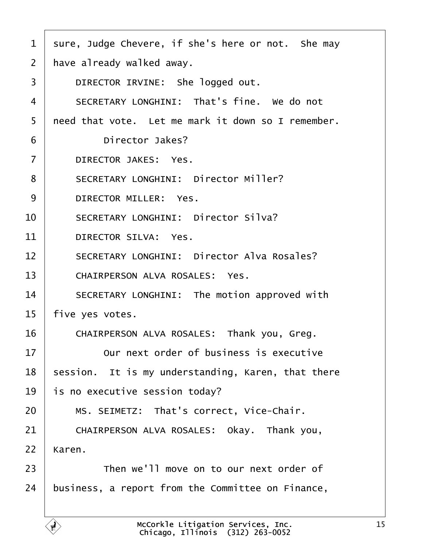<span id="page-14-0"></span>

| 1  | sure, Judge Chevere, if she's here or not. She may |
|----|----------------------------------------------------|
| 2  | have already walked away.                          |
| 3  | DIRECTOR IRVINE: She logged out.                   |
| 4  | SECRETARY LONGHINI: That's fine. We do not         |
| 5  | need that vote. Let me mark it down so I remember. |
| 6  | Director Jakes?                                    |
| 7  | DIRECTOR JAKES: Yes.                               |
| 8  | <b>SECRETARY LONGHINI: Director Miller?</b>        |
| 9  | DIRECTOR MILLER: Yes.                              |
| 10 | <b>SECRETARY LONGHINI: Director Silva?</b>         |
| 11 | DIRECTOR SILVA: Yes.                               |
| 12 | <b>SECRETARY LONGHINI: Director Alva Rosales?</b>  |
| 13 | <b>CHAIRPERSON ALVA ROSALES: Yes.</b>              |
| 14 | SECRETARY LONGHINI: The motion approved with       |
| 15 | five yes votes.                                    |
| 16 | CHAIRPERSON ALVA ROSALES: Thank you, Greg.         |
| 17 | Our next order of business is executive            |
| 18 | session. It is my understanding, Karen, that there |
| 19 | is no executive session today?                     |
| 20 | MS. SEIMETZ: That's correct, Vice-Chair.           |
| 21 | CHAIRPERSON ALVA ROSALES: Okay. Thank you,         |
| 22 | Karen.                                             |
| 23 | Then we'll move on to our next order of            |
| 24 | business, a report from the Committee on Finance,  |
|    |                                                    |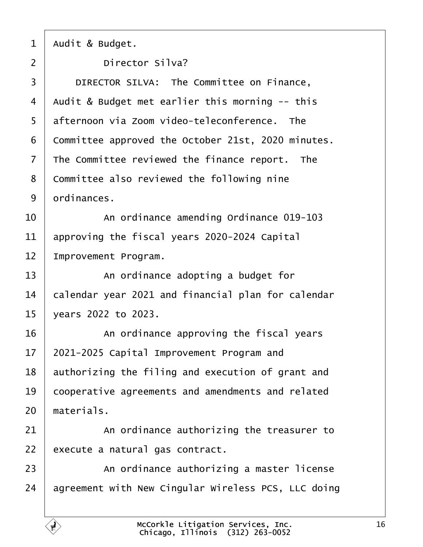<span id="page-15-0"></span>

|  | Audit & Budget. |  |
|--|-----------------|--|
|--|-----------------|--|

- 2 **Director Silva?**
- 3 | DIRECTOR SILVA: The Committee on Finance,
- 4 Audit & Budget met earlier this morning -- this
- 5 difternoon via Zoom video-teleconference. The
- 6 Committee approved the October 21st, 2020 minutes.
- 7 The Committee reviewed the finance report. The
- 8 Committee also reviewed the following nine
- 9 drdinances.
- 10 An ordinance amending Ordinance 019-103
- 11 approving the fiscal years 2020-2024 Capital
- 12 Improvement Program.
- 13 | An ordinance adopting a budget for
- 14 balendar year 2021 and financial plan for calendar
- 15 vears 2022 to 2023.
- $16$   $\parallel$  An ordinance approving the fiscal years
- 17 2021-2025 Capital Improvement Program and
- 18 authorizing the filing and execution of grant and
- 19 cooperative agreements and amendments and related
- 20 materials.
- $21$   $\parallel$  An ordinance authorizing the treasurer to
- 22 execute a natural gas contract.
- 23 An ordinance authorizing a master license
- 24 agreement with New Cingular Wireless PCS, LLC doing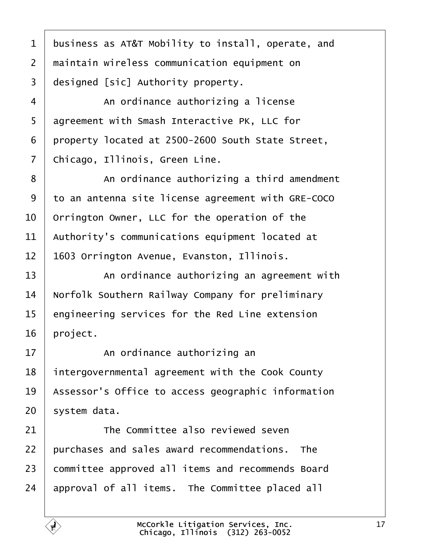<span id="page-16-0"></span>

| 1  | business as AT&T Mobility to install, operate, and |
|----|----------------------------------------------------|
| 2  | maintain wireless communication equipment on       |
| 3  | designed [sic] Authority property.                 |
| 4  | An ordinance authorizing a license                 |
| 5  | agreement with Smash Interactive PK, LLC for       |
| 6  | property located at 2500-2600 South State Street,  |
| 7  | Chicago, Illinois, Green Line.                     |
| 8  | An ordinance authorizing a third amendment         |
| 9  | to an antenna site license agreement with GRE-COCO |
| 10 | Orrington Owner, LLC for the operation of the      |
| 11 | Authority's communications equipment located at    |
| 12 | 1603 Orrington Avenue, Evanston, Illinois.         |
| 13 | An ordinance authorizing an agreement with         |
| 14 | Norfolk Southern Railway Company for preliminary   |
| 15 | engineering services for the Red Line extension    |
| 16 | project.                                           |
| 17 | An ordinance authorizing an                        |
| 18 | intergovernmental agreement with the Cook County   |
| 19 | Assessor's Office to access geographic information |
| 20 | system data.                                       |
| 21 | The Committee also reviewed seven                  |
| 22 | purchases and sales award recommendations. The     |
| 23 | committee approved all items and recommends Board  |
| 24 | approval of all items. The Committee placed all    |
|    |                                                    |

 $\Gamma$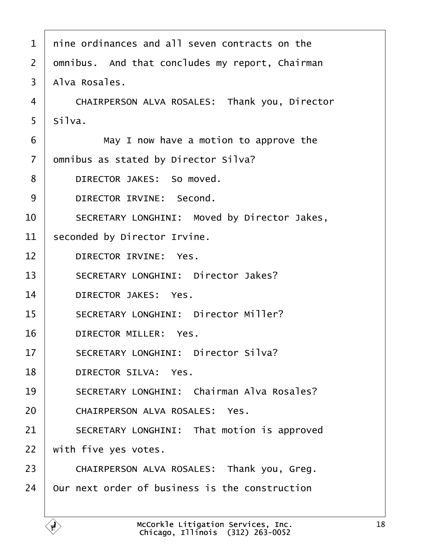<span id="page-17-0"></span>

| 1                     | nine ordinances and all seven contracts on the    |
|-----------------------|---------------------------------------------------|
| $\mathbf{2}^{\prime}$ | dmnibus. And that concludes my report, Chairman   |
| 3                     | Alva Rosales.                                     |
| 4                     | CHAIRPERSON ALVA ROSALES: Thank you, Director     |
| 5                     | Silva.                                            |
| 6                     | May I now have a motion to approve the            |
| $\overline{7}$        | dmnibus as stated by Director Silva?              |
| 8                     | DIRECTOR JAKES: So moved.                         |
| 9                     | DIRECTOR IRVINE: Second.                          |
| 10                    | SECRETARY LONGHINI: Moved by Director Jakes,      |
| 11                    | seconded by Director Irvine.                      |
| 12                    | <b>DIRECTOR IRVINE: Yes.</b>                      |
| 13                    | <b>SECRETARY LONGHINI: Director Jakes?</b>        |
| 14                    | <b>DIRECTOR JAKES: Yes.</b>                       |
| 15                    | <b>SECRETARY LONGHINI: Director Miller?</b>       |
| 16                    | DIRECTOR MILLER: Yes.                             |
| 17                    | <b>SECRETARY LONGHINI: Director Silva?</b>        |
| 18                    | <b>DIRECTOR SILVA: Yes.</b>                       |
| 19                    | <b>SECRETARY LONGHINI: Chairman Alva Rosales?</b> |
| 20                    | <b>CHAIRPERSON ALVA ROSALES: Yes.</b>             |
| 21                    | SECRETARY LONGHINI: That motion is approved       |
| 22                    | with five yes votes.                              |
| 23                    | CHAIRPERSON ALVA ROSALES: Thank you, Greg.        |
| 24                    | Our next order of business is the construction    |
|                       |                                                   |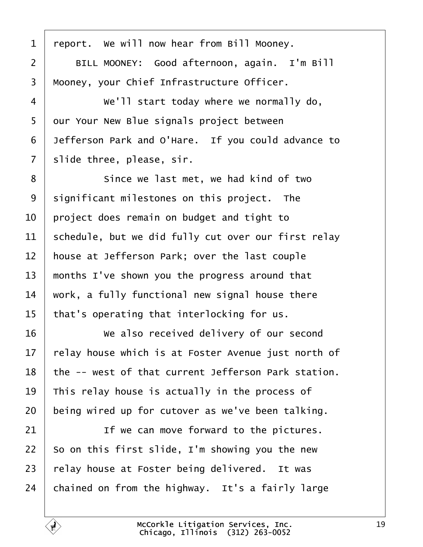<span id="page-18-0"></span>

| 1              | report. We will now hear from Bill Mooney.          |
|----------------|-----------------------------------------------------|
| $\overline{2}$ | BILL MOONEY: Good afternoon, again. I'm Bill        |
| 3              | Mooney, your Chief Infrastructure Officer.          |
| 4              | We'll start today where we normally do,             |
| 5              | dur Your New Blue signals project between           |
| 6              | Jefferson Park and O'Hare. If you could advance to  |
| $\overline{7}$ | slide three, please, sir.                           |
| 8              | Since we last met, we had kind of two               |
| 9              | significant milestones on this project. The         |
| 10             | project does remain on budget and tight to          |
| 11             | schedule, but we did fully cut over our first relay |
| 12             | house at Jefferson Park; over the last couple       |
| 13             | months I've shown you the progress around that      |
| 14             | work, a fully functional new signal house there     |
| 15             | that's operating that interlocking for us.          |
| 16             | We also received delivery of our second             |
| 17             | relay house which is at Foster Avenue just north of |
| 18             | the -- west of that current Jefferson Park station. |
| 19             | This relay house is actually in the process of      |
| 20             | being wired up for cutover as we've been talking.   |
| 21             | If we can move forward to the pictures.             |
| 22             | So on this first slide, I'm showing you the new     |
| 23             | relay house at Foster being delivered. It was       |
| 24             | chained on from the highway. It's a fairly large    |
|                |                                                     |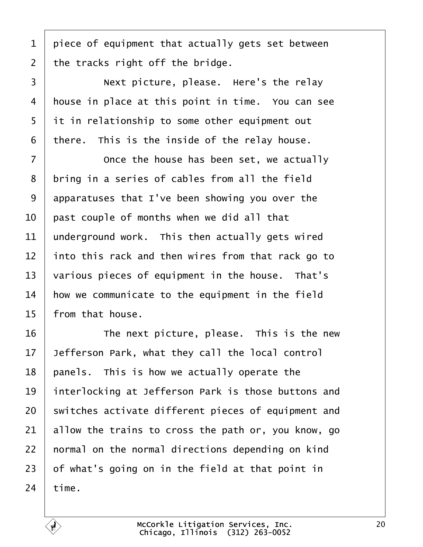<span id="page-19-0"></span>1 piece of equipment that actually gets set between

2 the tracks right off the bridge.

3 | Next picture, please. Here's the relay 4 house in place at this point in time. You can see 5 it in relationship to some other equipment out 6 there. This is the inside of the relay house.  $7 \mid$  Once the house has been set, we actually 8 bring in a series of cables from all the field 9 apparatuses that I've been showing you over the 10 bast couple of months when we did all that 11 underground work. This then actually gets wired 12 into this rack and then wires from that rack go to 13 various pieces of equipment in the house. That's 14 how we communicate to the equipment in the field 15 from that house. 16 **The next picture, please.** This is the new 17 Jefferson Park, what they call the local control 18 panels. This is how we actually operate the 19 interlocking at Jefferson Park is those buttons and 20 switches activate different pieces of equipment and 21 allow the trains to cross the path or, you know, go 22 hormal on the normal directions depending on kind 23 b f what's going on in the field at that point in  $24$  time.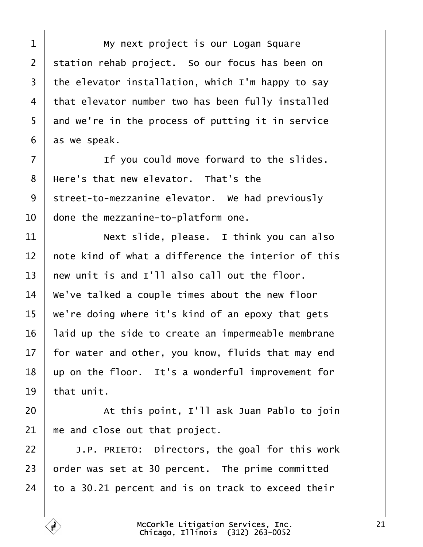<span id="page-20-0"></span>1 | My next project is our Logan Square 2 station rehab project. So our focus has been on 3 the elevator installation, which I'm happy to say 4 that elevator number two has been fully installed 5 and we're in the process of putting it in service 6 as we speak.  $7 \mid$  If you could move forward to the slides. 8 Here's that new elevator. That's the 9 street-to-mezzanine elevator. We had previously 10 done the mezzanine-to-platform one. 11 **Next slide, please.** I think you can also 12 hote kind of what a difference the interior of this 13 hew unit is and I'll also call out the floor. 14 We've talked a couple times about the new floor 15 we're doing where it's kind of an epoxy that gets 16 laid up the side to create an impermeable membrane 17 for water and other, you know, fluids that may end 18 up on the floor. It's a wonderful improvement for 19 that unit. 20 **At this point, I'll ask Juan Pablo to join** 21  $\,$  me and close out that project. 22  $\parallel$  J.P. PRIETO: Directors, the goal for this work 23 brder was set at 30 percent. The prime committed 24  $\pm$  to a 30.21 percent and is on track to exceed their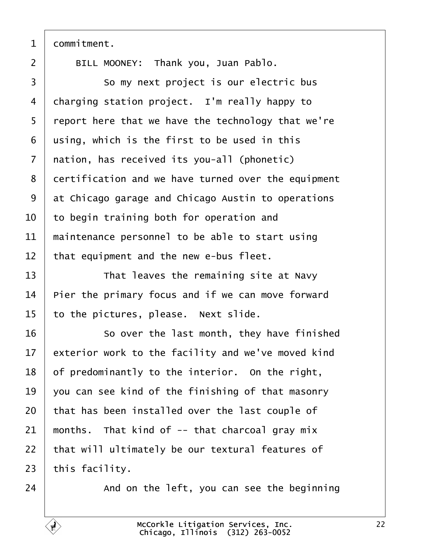<span id="page-21-0"></span>

|  | dommitment. |
|--|-------------|
|--|-------------|

 $\sqrt{ }$ 

| $\overline{2}$ | BILL MOONEY: Thank you, Juan Pablo.                 |
|----------------|-----------------------------------------------------|
| 3              | So my next project is our electric bus              |
| 4              | charging station project. I'm really happy to       |
| 5              | report here that we have the technology that we're  |
| 6              | using, which is the first to be used in this        |
| $\overline{7}$ | nation, has received its you-all (phonetic)         |
| 8              | dertification and we have turned over the equipment |
| 9              | at Chicago garage and Chicago Austin to operations  |
| 10             | to begin training both for operation and            |
| 11             | maintenance personnel to be able to start using     |
| 12             | that equipment and the new e-bus fleet.             |
| 13             | That leaves the remaining site at Navy              |
| 14             | Pier the primary focus and if we can move forward   |
| 15             | to the pictures, please. Next slide.                |
| 16             | So over the last month, they have finished          |
| 17             | exterior work to the facility and we've moved kind  |
| 18             | of predominantly to the interior. On the right,     |
| 19             | you can see kind of the finishing of that masonry   |
| 20             | that has been installed over the last couple of     |
| 21             | months. That kind of -- that charcoal gray mix      |
| 22             | that will ultimately be our textural features of    |
| 23             | this facility.                                      |
| 24             | And on the left, you can see the beginning          |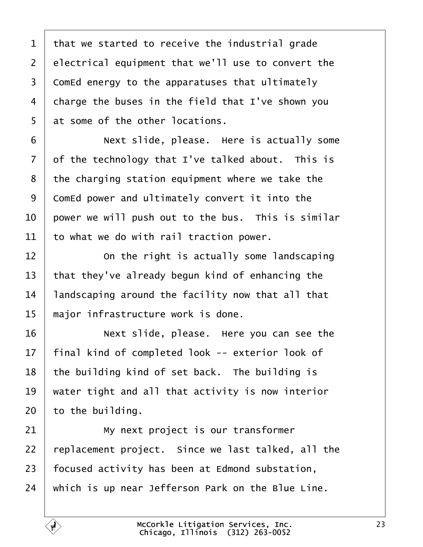<span id="page-22-0"></span>1 that we started to receive the industrial grade 2 electrical equipment that we'll use to convert the 3 ComEd energy to the apparatuses that ultimately 4 charge the buses in the field that I've shown you 5 at some of the other locations. 6 **Next slide, please.** Here is actually some 7 df the technology that I've talked about. This is 8 the charging station equipment where we take the 9 ComEd power and ultimately convert it into the 10 bower we will push out to the bus. This is similar 11 to what we do with rail traction power.  $12$   $\Box$  On the right is actually some landscaping 13 that they've already begun kind of enhancing the 14 landscaping around the facility now that all that 15 major infrastructure work is done. 16 **Next slide, please.** Here you can see the 17 final kind of completed look -- exterior look of 18 the building kind of set back. The building is 19 water tight and all that activity is now interior 20 to the building. 21 **My next project is our transformer** 22 replacement project. Since we last talked, all the 23 focused activity has been at Edmond substation, 24 which is up near Jefferson Park on the Blue Line.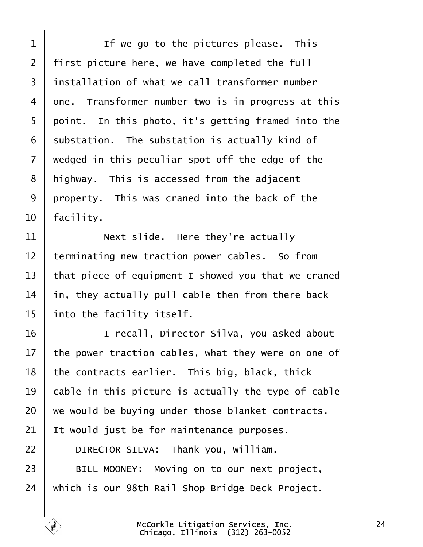<span id="page-23-0"></span>

| 1  | If we go to the pictures please. This               |
|----|-----------------------------------------------------|
| 2  | first picture here, we have completed the full      |
| 3  | installation of what we call transformer number     |
| 4  | one. Transformer number two is in progress at this  |
| 5  | point. In this photo, it's getting framed into the  |
| 6  | substation. The substation is actually kind of      |
| 7  | wedged in this peculiar spot off the edge of the    |
| 8  | highway. This is accessed from the adjacent         |
| 9  | property. This was craned into the back of the      |
| 10 | facility.                                           |
| 11 | Next slide. Here they're actually                   |
| 12 | terminating new traction power cables. So from      |
| 13 | that piece of equipment I showed you that we craned |
| 14 | in, they actually pull cable then from there back   |
| 15 | into the facility itself.                           |
| 16 | I recall, Director Silva, you asked about           |
| 17 | the power traction cables, what they were on one of |
| 18 | the contracts earlier. This big, black, thick       |
| 19 | cable in this picture is actually the type of cable |
| 20 | we would be buying under those blanket contracts.   |
| 21 | It would just be for maintenance purposes.          |
| 22 | DIRECTOR SILVA: Thank you, William.                 |
| 23 | BILL MOONEY: Moving on to our next project,         |
| 24 | which is our 98th Rail Shop Bridge Deck Project.    |
|    |                                                     |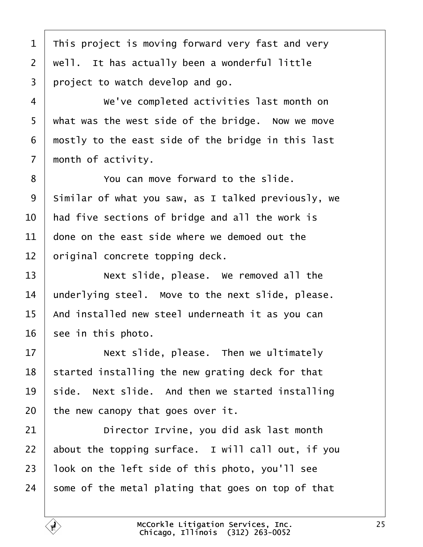<span id="page-24-0"></span>1 This project is moving forward very fast and very 2 well. It has actually been a wonderful little 3 project to watch develop and go. 4 | We've completed activities last month on 5 what was the west side of the bridge. Now we move 6 mostly to the east side of the bridge in this last 7 month of activity. 8 • You can move forward to the slide. 9 Similar of what you saw, as I talked previously, we 10 had five sections of bridge and all the work is 11 done on the east side where we demoed out the 12 briginal concrete topping deck. 13 **Next slide, please.** We removed all the 14 underlying steel. Move to the next slide, please. 15 And installed new steel underneath it as you can 16 see in this photo.  $17$   $\parallel$  Next slide, please. Then we ultimately 18 started installing the new grating deck for that 19 side. Next slide. And then we started installing 20 the new canopy that goes over it. 21 **Director Irvine, you did ask last month** 22 about the topping surface. I will call out, if you 23 look on the left side of this photo, you'll see 24 some of the metal plating that goes on top of that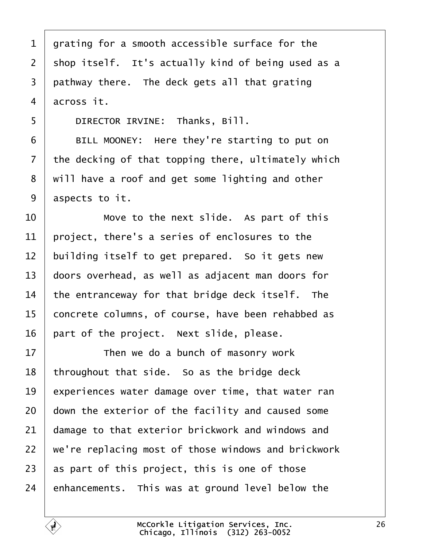<span id="page-25-0"></span>

| 1              | grating for a smooth accessible surface for the     |
|----------------|-----------------------------------------------------|
| 2              | shop itself. It's actually kind of being used as a  |
| 3              | pathway there. The deck gets all that grating       |
| 4              | across it.                                          |
| 5              | DIRECTOR IRVINE: Thanks, Bill.                      |
| 6              | BILL MOONEY: Here they're starting to put on        |
| $\overline{7}$ | the decking of that topping there, ultimately which |
| 8              | will have a roof and get some lighting and other    |
| 9              | aspects to it.                                      |
| 10             | Move to the next slide. As part of this             |
| 11             | project, there's a series of enclosures to the      |
| 12             | building itself to get prepared. So it gets new     |
| 13             | doors overhead, as well as adjacent man doors for   |
| 14             | the entranceway for that bridge deck itself. The    |
| 15             | concrete columns, of course, have been rehabbed as  |
| 16             | part of the project. Next slide, please.            |
| 17             | Then we do a bunch of masonry work                  |
| 18             | throughout that side. So as the bridge deck         |
| 19             | experiences water damage over time, that water ran  |
| 20             | down the exterior of the facility and caused some   |
| 21             | damage to that exterior brickwork and windows and   |
| 22             | we're replacing most of those windows and brickwork |
| 23             | as part of this project, this is one of those       |
| 24             | enhancements. This was at ground level below the    |
|                |                                                     |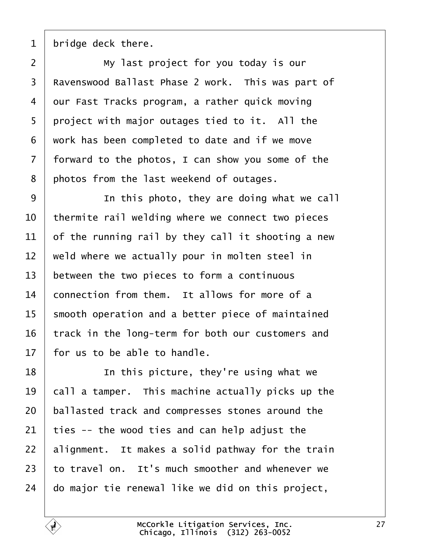<span id="page-26-0"></span>1 bridge deck there.

 $2 \mid$  My last project for you today is our 3 Ravenswood Ballast Phase 2 work. This was part of 4 dur Fast Tracks program, a rather quick moving 5 project with major outages tied to it. All the ·6· ·work has been completed to date and if we move 7 forward to the photos, I can show you some of the 8 photos from the last weekend of outages. 9 **I** In this photo, they are doing what we call 10 thermite rail welding where we connect two pieces 11  $\theta$  of the running rail by they call it shooting a new 12 weld where we actually pour in molten steel in 13 between the two pieces to form a continuous 14 **connection from them.** It allows for more of a 15 smooth operation and a better piece of maintained 16 track in the long-term for both our customers and 17 for us to be able to handle.  $18$   $\parallel$  In this picture, they're using what we 19 call a tamper. This machine actually picks up the 20 ballasted track and compresses stones around the 21  $\mu$  ties -- the wood ties and can help adjust the 22 alignment. It makes a solid pathway for the train 23 to travel on. It's much smoother and whenever we 24 do major tie renewal like we did on this project,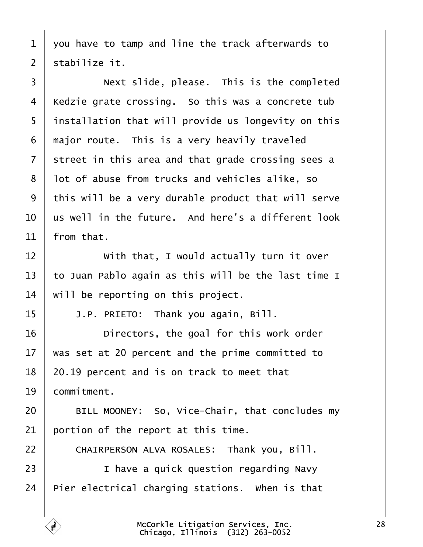<span id="page-27-0"></span>·1· ·you have to tamp and line the track afterwards to

2 stabilize it.

3 **Next slide, please.** This is the completed 4 Kedzie grate crossing. So this was a concrete tub 5 installation that will provide us longevity on this 6 major route. This is a very heavily traveled 7 street in this area and that grade crossing sees a 8 lot of abuse from trucks and vehicles alike, so 9 this will be a very durable product that will serve 10 us well in the future. And here's a different look 11  $\,$  from that. 12 **With that, I would actually turn it over** 13 to Juan Pablo again as this will be the last time I 14 will be reporting on this project. 15  $\parallel$  J.P. PRIETO: Thank you again, Bill. 16 **Directors, the goal for this work order** 17 was set at 20 percent and the prime committed to 18 20.19 percent and is on track to meet that 19 **commitment.** 20 | BILL MOONEY: So, Vice-Chair, that concludes my 21 bortion of the report at this time. 22 | CHAIRPERSON ALVA ROSALES: Thank you, Bill. 23 **I** I have a quick question regarding Navy 24 Pier electrical charging stations. When is that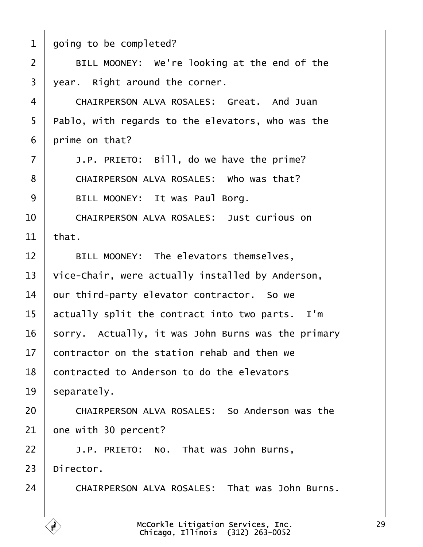<span id="page-28-0"></span>

|  | 1 going to be completed? |  |
|--|--------------------------|--|
|--|--------------------------|--|

- 2 | BILL MOONEY: We're looking at the end of the
- 3 year. Right around the corner.
- 4 CHAIRPERSON ALVA ROSALES: Great. And Juan
- 5 Pablo, with regards to the elevators, who was the
- 6 prime on that?
- $7 \mid$  J.P. PRIETO: Bill, do we have the prime?
- 8 | CHAIRPERSON ALVA ROSALES: Who was that?
- 9 | BILL MOONEY: It was Paul Borg.
- 10 CHAIRPERSON ALVA ROSALES: Just curious on
- 11  $^{\dagger}$ hat.
- 12 | BILL MOONEY: The elevators themselves,
- 13 Vice-Chair, were actually installed by Anderson,
- 14 bur third-party elevator contractor. So we
- 15 actually split the contract into two parts. I'm
- 16 sorry. Actually, it was John Burns was the primary
- 17 contractor on the station rehab and then we
- 18 contracted to Anderson to do the elevators
- 19 separately.
- 20 **CHAIRPERSON ALVA ROSALES: So Anderson was the**
- 21 bne with 30 percent?
- $22$  | J.P. PRIETO: No. That was John Burns,
- 23 Director.
- 24 CHAIRPERSON ALVA ROSALES: That was John Burns.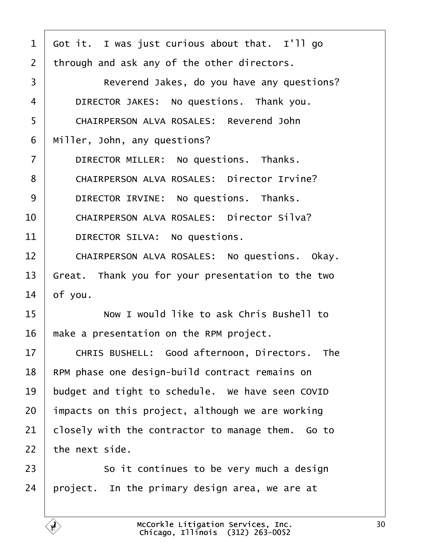<span id="page-29-0"></span>

| 1              | Got it. I was just curious about that. I'll go    |
|----------------|---------------------------------------------------|
| $\overline{2}$ | through and ask any of the other directors.       |
| 3              | Reverend Jakes, do you have any questions?        |
| 4              | DIRECTOR JAKES: No questions. Thank you.          |
| 5              | <b>CHAIRPERSON ALVA ROSALES: Reverend John</b>    |
| 6              | Miller, John, any questions?                      |
| $\overline{7}$ | DIRECTOR MILLER: No questions. Thanks.            |
| 8              | <b>CHAIRPERSON ALVA ROSALES: Director Irvine?</b> |
| 9              | DIRECTOR IRVINE: No questions. Thanks.            |
| 10             | <b>CHAIRPERSON ALVA ROSALES: Director Silva?</b>  |
| 11             | DIRECTOR SILVA: No questions.                     |
| 12             | CHAIRPERSON ALVA ROSALES: No questions. Okay.     |
| 13             | Great. Thank you for your presentation to the two |
| 14             | of you.                                           |
| 15             | Now I would like to ask Chris Bushell to          |
| 16             | make a presentation on the RPM project.           |
| 17             | CHRIS BUSHELL: Good afternoon, Directors. The     |
| 18             | RPM phase one design-build contract remains on    |
| 19             | budget and tight to schedule. We have seen COVID  |
| 20             | impacts on this project, although we are working  |
| 21             | closely with the contractor to manage them. Go to |
| 22             | the next side.                                    |
| 23             | So it continues to be very much a design          |
| 24             | project. In the primary design area, we are at    |
|                |                                                   |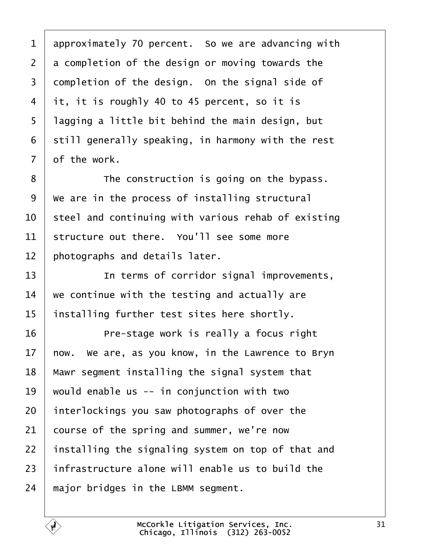<span id="page-30-0"></span>1 approximately 70 percent. So we are advancing with 2 a completion of the design or moving towards the 3 dompletion of the design. On the signal side of 4 it, it is roughly 40 to 45 percent, so it is 5 lagging a little bit behind the main design, but 6 still generally speaking, in harmony with the rest 7 of the work. 8 **I** The construction is going on the bypass. 9 We are in the process of installing structural 10 steel and continuing with various rehab of existing 11 structure out there. You'll see some more 12 **photographs and details later.** 13 **I** In terms of corridor signal improvements, 14 we continue with the testing and actually are 15 installing further test sites here shortly. 16 **Pre-stage work is really a focus right** 17 how. We are, as you know, in the Lawrence to Bryn 18 Mawr segment installing the signal system that 19 would enable us -- in conjunction with two 20 interlockings you saw photographs of over the 21 course of the spring and summer, we're now 22 installing the signaling system on top of that and 23 infrastructure alone will enable us to build the 24 major bridges in the LBMM segment.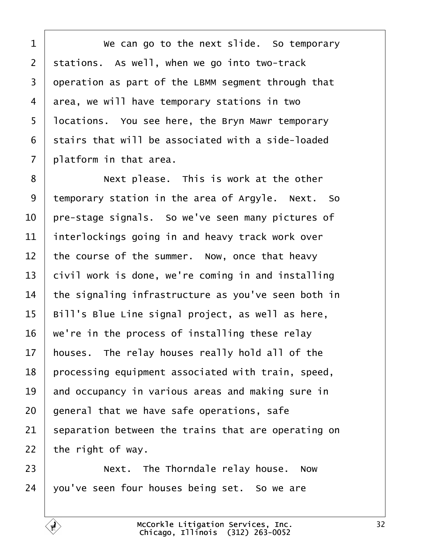$1 \mid$  We can go to the next slide. So temporary 2 stations. As well, when we go into two-track 3 deperation as part of the LBMM segment through that 4 area, we will have temporary stations in two 5 locations. You see here, the Bryn Mawr temporary 6 stairs that will be associated with a side-loaded 7 platform in that area. 8 **Next please.** This is work at the other 9 temporary station in the area of Argyle. Next. So 10 pre-stage signals. So we've seen many pictures of 11 interlockings going in and heavy track work over 12 the course of the summer. Now, once that heavy 13 bivil work is done, we're coming in and installing 14 the signaling infrastructure as you've seen both in 15 Bill's Blue Line signal project, as well as here, 16 we're in the process of installing these relay 17 houses. The relay houses really hold all of the 18 processing equipment associated with train, speed, 19 and occupancy in various areas and making sure in 20 general that we have safe operations, safe 21 separation between the trains that are operating on 22 the right of way. 23 **Next.** The Thorndale relay house. Now 24  $\sqrt{v}$  vou've seen four houses being set. So we are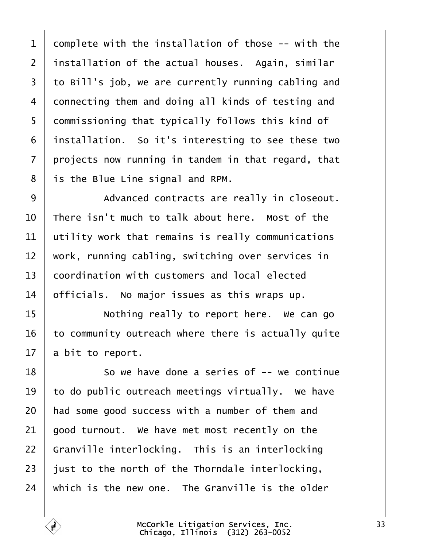1 domplete with the installation of those -- with the 2 installation of the actual houses. Again, similar 3 to Bill's job, we are currently running cabling and 4 donnecting them and doing all kinds of testing and 5 dommissioning that typically follows this kind of 6 installation. So it's interesting to see these two 7 projects now running in tandem in that regard, that 8 is the Blue Line signal and RPM. 9 | Advanced contracts are really in closeout. 10 There isn't much to talk about here. Most of the 11 utility work that remains is really communications 12 work, running cabling, switching over services in 13 **coordination with customers and local elected** 14 **bificials.** No major issues as this wraps up. 15 **I** Nothing really to report here. We can go 16 to community outreach where there is actually quite 17 a bit to report. 18 **So we have done a series of -- we continue** 19 to do public outreach meetings virtually. We have 20 had some good success with a number of them and 21 good turnout. We have met most recently on the 22 Granville interlocking. This is an interlocking 23 just to the north of the Thorndale interlocking, 24 which is the new one. The Granville is the older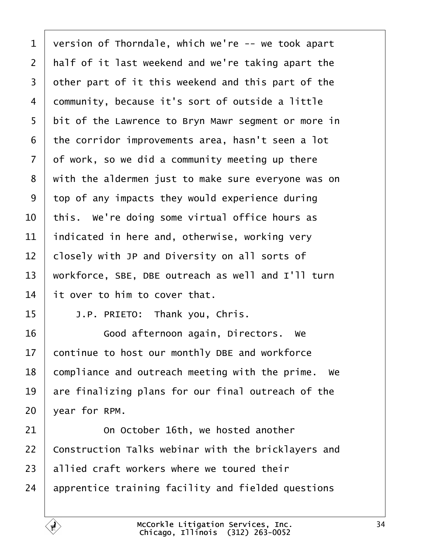| 1              | version of Thorndale, which we're -- we took apart  |
|----------------|-----------------------------------------------------|
| 2              | half of it last weekend and we're taking apart the  |
| 3              | other part of it this weekend and this part of the  |
| 4              | dommunity, because it's sort of outside a little    |
| 5              | bit of the Lawrence to Bryn Mawr segment or more in |
| 6              | the corridor improvements area, hasn't seen a lot   |
| $\overline{7}$ | of work, so we did a community meeting up there     |
| 8              | with the aldermen just to make sure everyone was on |
| 9              | top of any impacts they would experience during     |
| 10             | this. We're doing some virtual office hours as      |
| 11             | indicated in here and, otherwise, working very      |
| 12             | closely with JP and Diversity on all sorts of       |
| 13             | workforce, SBE, DBE outreach as well and I'll turn  |
| 14             | It over to him to cover that.                       |
| 15             | J.P. PRIETO: Thank you, Chris.                      |
| 16             | Good afternoon again, Directors. We                 |
| 17             | continue to host our monthly DBE and workforce      |
| 18             | compliance and outreach meeting with the prime. We  |
| 19             | are finalizing plans for our final outreach of the  |
| 20             | year for RPM.                                       |
| 21             | On October 16th, we hosted another                  |
| 22             | Construction Talks webinar with the bricklayers and |
| 23             | allied craft workers where we toured their          |
| 24             | apprentice training facility and fielded questions  |
|                |                                                     |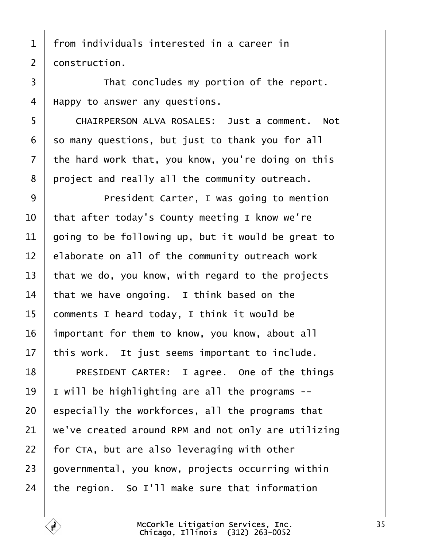- 1 from individuals interested in a career in
- 2 donstruction.
- 3 **Fig. 4** That concludes my portion of the report.
- 4 Happy to answer any questions.
- 5 | CHAIRPERSON ALVA ROSALES: Just a comment. Not
- 6 so many questions, but just to thank you for all
- 7 the hard work that, you know, you're doing on this
- 8 project and really all the community outreach.
- 9 | President Carter, I was going to mention
- 10 that after today's County meeting I know we're
- 11 doing to be following up, but it would be great to
- 12 **Elaborate on all of the community outreach work**
- 13 that we do, you know, with regard to the projects
- 14 that we have ongoing. I think based on the
- 15 comments I heard today, I think it would be
- 16 important for them to know, you know, about all
- 17 this work. It just seems important to include.
- 18 | PRESIDENT CARTER: I agree. One of the things
- 19 | will be highlighting are all the programs --
- 20 especially the workforces, all the programs that
- 21 we've created around RPM and not only are utilizing
- 22 for CTA, but are also leveraging with other
- 23 governmental, you know, projects occurring within
- 24 the region. So I'll make sure that information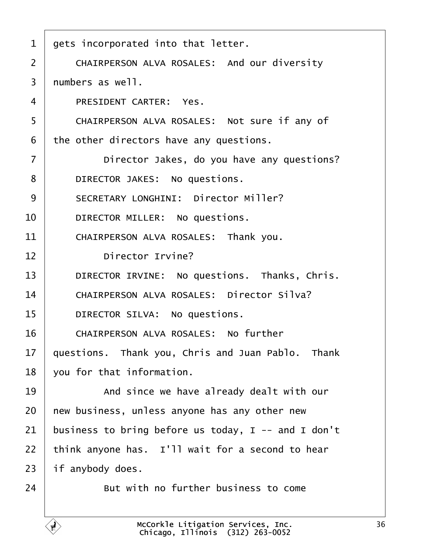| 1  | gets incorporated into that letter.                 |
|----|-----------------------------------------------------|
| 2  | <b>CHAIRPERSON ALVA ROSALES: And our diversity</b>  |
| 3  | numbers as well.                                    |
| 4  | <b>PRESIDENT CARTER: Yes.</b>                       |
| 5  | CHAIRPERSON ALVA ROSALES: Not sure if any of        |
| 6  | the other directors have any questions.             |
| 7  | Director Jakes, do you have any questions?          |
| 8  | DIRECTOR JAKES: No questions.                       |
| 9  | <b>SECRETARY LONGHINI: Director Miller?</b>         |
| 10 | DIRECTOR MILLER: No questions.                      |
| 11 | CHAIRPERSON ALVA ROSALES: Thank you.                |
| 12 | <b>Director Irvine?</b>                             |
| 13 | DIRECTOR IRVINE: No questions. Thanks, Chris.       |
| 14 | <b>CHAIRPERSON ALVA ROSALES: Director Silva?</b>    |
| 15 | DIRECTOR SILVA: No questions.                       |
| 16 | <b>CHAIRPERSON ALVA ROSALES: No further</b>         |
| 17 | questions. Thank you, Chris and Juan Pablo. Thank   |
| 18 | you for that information.                           |
| 19 | And since we have already dealt with our            |
| 20 | hew business, unless anyone has any other new       |
| 21 | business to bring before us today, I -- and I don't |
| 22 | think anyone has. I'll wait for a second to hear    |
| 23 | if anybody does.                                    |
| 24 | But with no further business to come                |
|    |                                                     |

 $\Gamma$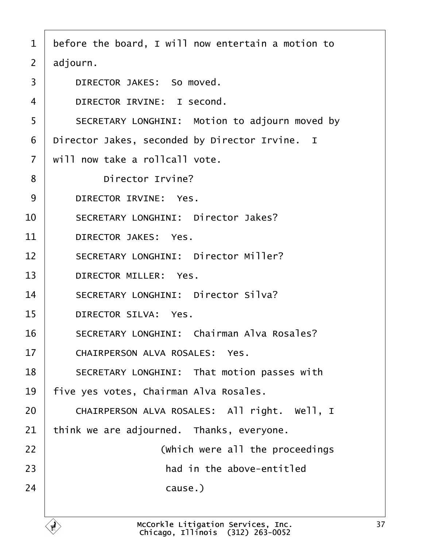- 1 before the board, I will now entertain a motion to
- 2 adjourn.
- 3 | DIRECTOR JAKES: So moved.
- 4 | DIRECTOR IRVINE: I second.
- 5 | SECRETARY LONGHINI: Motion to adjourn moved by
- 6 Director Jakes, seconded by Director Irvine. I
- 7 will now take a rollcall vote.
- 8 | Director Irvine?
- 9 DIRECTOR IRVINE: Yes.
- 10 | SECRETARY LONGHINI: Director Jakes?
- 11 DIRECTOR JAKES: Yes.
- 12 | SECRETARY LONGHINI: Director Miller?
- 13 | DIRECTOR MILLER: Yes.
- 14 | SECRETARY LONGHINI: Director Silva?
- 15 | DIRECTOR SILVA: Yes.
- 16 | SECRETARY LONGHINI: Chairman Alva Rosales?
- 17 | CHAIRPERSON ALVA ROSALES: Yes.
- 18 | SECRETARY LONGHINI: That motion passes with
- 19 five yes votes, Chairman Alva Rosales.
- 20 | CHAIRPERSON ALVA ROSALES: All right. Well, I
- 21  *we are adjourned. Thanks, everyone.*
- 22 **I** (Which were all the proceedings
- $23$   $\parallel$  **had in the above-entitled**
- $24$  cause.)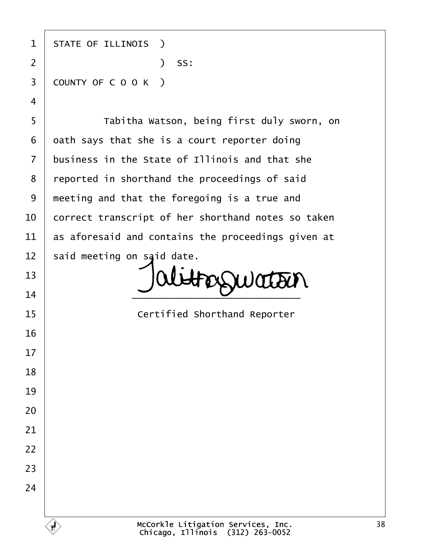| $\mathbf 1$    | <b>STATE OF ILLINOIS</b> )                         |
|----------------|----------------------------------------------------|
| $\overline{2}$ | ) SS:                                              |
| 3              | COUNTY OF COOK)                                    |
| 4              |                                                    |
| 5              | Tabitha Watson, being first duly sworn, on         |
| 6              | dath says that she is a court reporter doing       |
| $\overline{7}$ | business in the State of Illinois and that she     |
| 8              | reported in shorthand the proceedings of said      |
| $9\,$          | meeting and that the foregoing is a true and       |
| 10             | correct transcript of her shorthand notes so taken |
| 11             | as aforesaid and contains the proceedings given at |
| 12             | said meeting on said date.                         |
| 13             |                                                    |
| 14             |                                                    |
| 15             | <b>Certified Shorthand Reporter</b>                |
| 16             |                                                    |
| 17             |                                                    |
| 18             |                                                    |
| 19             |                                                    |
| 20             |                                                    |
| 21             |                                                    |
| 22             |                                                    |
| 23             |                                                    |
| 24             |                                                    |
|                |                                                    |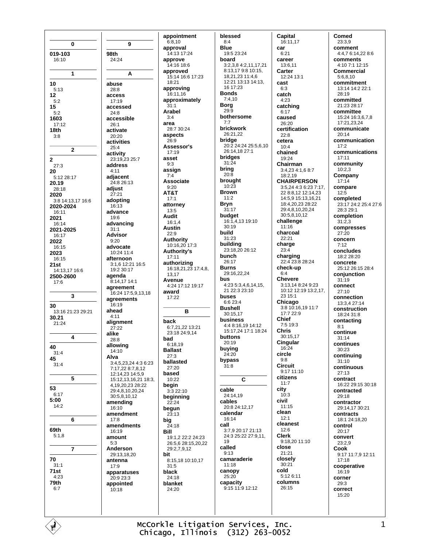16:10 24:24  $\overline{1}$ A abuse  $5:13$ 28:8 access  $17:19$ accessed  $5:2$ 24:8 1603 accessible  $17:12$  $26:1$  $18<sub>th</sub>$ activate  $3.8$  $20.20$ activities 25:4  $\overline{2}$ activity 23:19.23 25:7  $27.3$ address  $4:11$ adiacent 5:12 28:17 24:8 26:13 20.19 adjust  $28.18$ 2020  $27:21$ 3:8 14:13,17 16:6 adopting 2020-2024  $16:13$ advance  $16:11$ 2021  $19:6$ advancing 16:14 2021-2025  $31:1$ Advisor 16:17 2022  $9:20$ advocate 16:15 2023  $10.24$  11.4 afternoon 16:15 3:1,6 12:21 16:5  $21st$ 19:2 30:17 14:13,17 16:6 2500-2600 agenda 8:14.17 14:1  $17:6$ agreement 16:24 17:5,9,13,18  $\overline{\mathbf{3}}$ agreements 16:19 ahead 13:16 21:23 29:21  $4.11$ 30.21 alignment  $21:24$ 27:22 alike  $\overline{\mathbf{4}}$ 28:8 allowing  $14.10$  $31:4$ Alva 3:4,5,23,24 4:3 6:23  $31:4$ 7:17,22 8:7,8,12 12:14.23 14:5,9 5 15:12,13,16,21 18:3, 4,19,20,23 28:22 29:4.8.10.20.24  $6:17$ 30:5.8.10.12  $5:00$ amending  $14:2$ 16:10 amendment 6  $17:8$ amendments 69th  $16.19$  $5:1.8$ amount  $5:3$  $\overline{7}$ Anderson 29:13,18,20 antenna  $31:1$  $17.9$  $71st$ apparatuses  $4.23$  $20:923:3$ 79th appointed  $10.18$ 

 $\mathbf{0}$ 

019-103

10

 $12$ 

15

 $\bf{2}$ 

20

30

40

45

53

70

 $6:7$ 

 $5:2$ 

9

98th

appointment  $6:8.10$ approval  $14.13$  17.24 approve 14:16 18:6 approved 15:14 16:6 17:23  $18.21$ approving 16:11.16 approximately  $31:1$ **Arabel**  $3.4$ area 28:7.30:24 aspects  $26:9$ Assessor's  $17.19$ asset  $9:3$ assian  $7:4$ Associate  $9.20$ AT&T  $17:1$ attorney  $13:5$ Audit  $16:1.4$ **Austin**  $22:9$ Authority 10:16.20 17:3 Authority's  $17:11$ authorizing 16:18,21,23 17:4,8. 13 17 Avenue 4:24 17:12 19:17 award 17:22 B hack 6.7 21 22 13:21 23:18 24:9 14 bad  $6:18,19$ **Ballast**  $27.3$ ballasted  $27.20$ based 10:22 begin  $3.322 \cdot 10$ beginning  $22:24$ begun  $2\bar{3}:13$ bia 24:18 **Bill** 19:1,2 22:2 24:23 26:5,6 28:15,20,22 29:2,7,9,12 hit 8:15.18 10:10.17  $31.5$ black  $24.18$ blanket  $24.20$ 

blessed  $8:4$ Blue 19:5 23:24 hoard  $3.2384.2111721$ 8:13,17 9:8 10:15, 18,21,23 11:4,6 12:21 13:13 14:13, 16 17:23 **Bonds**  $7.410$ **Borg**  $29.9$ bothersome  $7:7$ brickwork  $26:21.22$ bridge 20:2 24:24 25:5,6,10 26:14,18 27:1 bridges  $31.24$ bring  $20.8$ brought  $10:23$ **Brown**  $11.2$ **Bryn**  $31:17$ budget 16:1,4,13 19:10  $30.19$ build 31:23 building 23:18,20 26:12 bunch  $26.17$ **Burns** 29:16,22,24 **bus** 4:23 5:3,4,6,14,15, 21 22:3 23:10 buses 6:6 23:4 **Bushell**  $30:15.17$ **business** 4:4 8:16.19 14:12 15:17 24 17:1 18:24 **buttons** 20:19 buying  $24:20$ bypass  $31:8$  $\mathbf{c}$ cable 24:14.19 cables 20:8 24:12.17 calendar  $16.14$ call 3:7,9 20:17 21:13 24:3 25:22 27:9,11, 19 called  $9:13$ camaraderie  $11:18$ canopy  $25:20$ capacity 9:15 11:9 12:12

**Capital** 16:11.17 car  $6.21$ career  $13.611$ Carter 12:24 13:1 cast  $6.3$ catch  $4:23$ catching  $6:17$ caused 26:20 certification  $22:8$ cetera  $10:4$ chained  $19.24$ Chairman 3:4,23 4:1,6 8:7 18:2.19 **CHAIRPERSON** 3:5,24 4:3 6:23 7:17, 22 8:8,12 12:14,23 14:5,9 15:13,16,21 18:4,20,23 28:22 29:4,8,10,20,24 30:5,8,10,12 challenge  $11.16$ charcoal 22:21 charge  $23.4$ charging 22:4 23:8 28:24 check-up  $6:4$ **Chevere**  $3:13,148:249:23$ 10:12 12:19 13:2.17  $23.15 \cdot 1$ Chicago 3:8 10:16,19 11:7 17:7 22:9 Chief 7:5 19:3 **Chris** 30:15 17 Cingular 16:24 circle  $9.8$ **Circuit** 9:17 11:10 citizens  $11:7$ city  $10:3$ civil  $11:15$ clean  $12:1$ cleanest  $12.6$ **Clerk** 9:18,20 11:10 close  $21:21$ closely  $30:21$ cold 5:12 6:11 columns  $26.15$ 

Comed 23:3.9 comment 4:4.7 6:14.22 8:6 **comments**  $4.107.112.15$ **Commercial**  $5:6,8,10$ commitment 13:14 14:2 22:1  $28.19$ committed 21:23 28:17 committee 15:24 16:3 6 7 8 17:21.23.24 communicate  $20.14$ communication  $17:2$ communications  $17.11$ community  $10:2,3$ Company  $17.14$ compare  $12:5$ completed 23:17 24:2 25:4 27:6 28:3 29:1 completion  $31.23$ compresses  $27:20$ concern  $7:12$ concludes 18:2 28:20 concrete 25:12 26:15 28:4 conjunction  $31.19$ connect  $27.10$ connection 13:3.4 27:14 construction  $18:24.31:8$ contacting  $8:1$ continue  $31.14$ continues 30:23 continuina  $31:10$ continuous  $27.13$ contract 16:22 29:15 30:18 contracted 29:18 contractor 29:14.17 30:21 contracts 18:1 24:18,20 control  $20.17$ convert  $23:2.9$ Cook 9:17 11:7.9 12:11  $17:18$ cooperative  $16:19$ corner 29:3 correct  $15.20$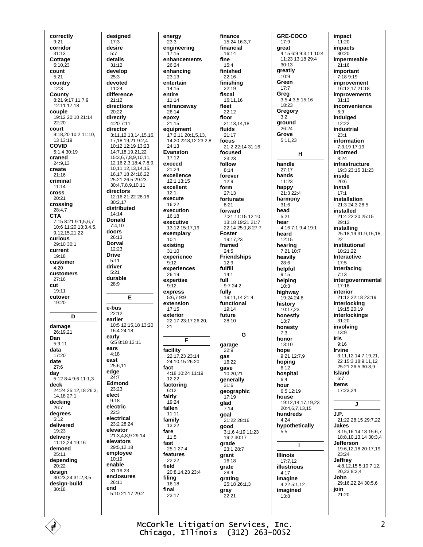correctly  $9:21$ corridor  $31.13$ Cottage  $5:10.\overline{2}3$ count  $5:21$ country  $12.3$ County 8:21 9:17 11:7,9 12:11 17:18 couple 19:12 20:10 21:14  $22:20$ **COULT** 9:18.20 10:2 11:10. 13 13:19 **COVID** 5:1,4 30:19 craned  $24.913$ create  $21:16$ criminal  $11.14$ cross  $20:21$ crossing 28:4.7 **CTA** 7:15 8:21 9:1.5.6.7  $10.611.2013.345$ 9.12.15.21.22 curious 29:10 30:1 current  $19:18$ customer  $4:20$ customers  $27:16$  $cut$  $19.11$ cutover 19:20 D damage 26:19.21 Dan  $5.911$ data  $17.20$ date  $27.6$ day 5:12 8:4 9:6 11:1,3 deck 24:24 25:12,18 26:3. 14,18 27:1 decking  $26:7$ degrees  $5:12$ delivered 19:23 delivery 11:12,24 19:16 demoed  $25:11$ depending  $20.22$ design 30:23,24 31:2,3,5 design-build  $30.18$ 

designed  $17:3$ desire  $5.7$ details  $31.12$ develop 25:3 devoted  $11.24$ difference  $21:12$ directions 20:22 directly  $4:207:11$ director 3:11, 12, 13, 14, 15, 16, 17, 18, 19, 21 9: 2, 4 10:12 12:19 13:23 14:7,18,19,21,22 15:3,6,7,8,9,10,11, 12 16:2.3 18:4.7.8.9. 10.11.12.13.14.15. 16 17 18 24 16 22 25:21 26:5 29:23 30:47891011 directors 12:16 21:22 28:16  $30:2,17$ distributed  $14:14$ **Donald**  $7:4.10$ doors 26:13 **Dorval**  $12.23$ **Drive**  $5:11$ driver  $5.21$ durable 28:9 E e-bus  $22.12$ earlier 10:5 12:15.18 13:20  $16.424.18$ early 6:5 8:18 13:11 ears  $4:18$ east  $25.611$ edge  $24:7$ Edmond 23:23 elect  $9.18$ electric  $22:3$ electrical  $23.228.24$ elevator 21:3,4,8,9 29:14 elevators 29:5 12 18 employee  $10.19$ enable 31:19.23 enclosures  $26.11$ end 5:10 21:17 29:2

energy enaineerina  $17.15$ fine enhancements  $26.24$ enhancing 23:13 entertain  $14.15$ entire  $11:14$ entranceway 26:14 epoxy  $21:15$ equipment 17:2,11 20:1,5,13, 14,20 22:8,12 23:2,8 24:13 **Fyanston**  $17.12$ exceed  $21:24$ excellence  $12.113.15$ excellent execute  $16.22$ execution 16:18 executive 13:12 15:17,19 exemplary existing  $31:10$ experience experiences  $26.19$ expertise full express 5:6,79:9 extension  $17.15$ exterior 22:17 23:17 26:20. E facility 22:17.23 23:14 gas 24:10.15 26:20  $4.18$  10.24 11.19  $12.22$ factoring  $19.24$  $11:11$ family  $13:22$ 25:1 27:4 features  $22.22$ 20:8,14,23 23:4 16:18 23:17

 $23:3$ 

 $12:1$ 

 $10:1$ 

 $9:12$ 

 $9:12$ 

 $21$ 

fact

 $6:12$ 

fairly

fallen

fare

fast

field

filing

final

 $11:5$ 

finance 15:24 16:3,7 financial  $16.14$  $15.4$ finished 22:16 finishina  $22.19$ fiscal 16:11.16 fleet  $22:12$ floor 21:13.14.18 fluids  $21:17$ focus 21:2 22:14 31:16 focused  $23.23$ follow  $8:14$ forever  $12.9$ form  $27:13$ fortunate  $8.21$ forward 7:21 11:15 12:10 13:18 19:21 21:7 22:14 25:1,8 27:7 **Foster** 19:17.23 framed  $24.5$ **Friendships**  $12:9$ fulfill  $14.1$  $9.724.2$ fully 19:11,14 21:4 functional  $19.14$ future 28:10 G garage  $22:9$ 16:22 qave 10:20.21 generally  $31:6$ geographic  $17:19$ glad  $7:14$ goal 21.22.28.16 good 3:1,6 4:19 11:23 19:2 30:17 grade 23:1 28:7 grant 16:18 grate 28:4 grating 25:18 26:1.3 gray  $22:21$ 

GRE-COCO  $17:9$ areat 4:15 6:9 9:3.11 10:4 11:23 13:18 29:4  $30.13$ greatly 10:9 Green  $17:7$ Greg 3:5 4:3,5 15:16  $18.23$ Gregory  $3.2$ ground  $26.24$ Grove  $5:11,23$  $H$ handle  $27:17$ hands  $11:23$ happy 21:3 22:4 harmony  $31:6$ head  $5.21$ hear 4:16 7:1 9:4 19:1 heard  $12.15$ hearing 7:21 10:7 heavily  $28.6$ helpful  $9.15$ helping  $10:3$ highway 19:24 24:8 history 10:17.23 honestly  $13:7$ honesty  $7.3$ honor  $13:10$ hope 9:21 12:7.9 hoping  $6.12$ hospital  $6:4$ hour  $6.512.19$ house 19:12,14,17,19,23 20:4.6.7.13.15 hundreds  $4:24$ hypothetically  $5:5$  $\mathbf{I}$ **Illinois**  $17:7,12$ illustrious  $4:17$ imagine 4:22 5:1,12 imagined  $13.8$ 

impact  $11:20$ **impacts**  $30.20$ impermeable  $21.16$ important 7:18 9:19 improvement  $16.12172118$ improvements  $31:13$ inconvenience  $6:9$ indulged  $12:22$ industrial  $23:1$ information 7:3.19 17:19 informed  $8.24$ infrastructure 19:3 23:15 31:23 inside  $20.6$ install  $17:1$ installation 21:3 24:3 28:5 installed  $21.422.2025.15$  $29.13$ installing 25:18,19 31:9,15,18, 22 institutional  $10:21.22$ Interactive  $17:5$ interfacing  $7.13$ intergovernmental  $17:18$ interior 21:12 22:18 23:19 interlocking  $19.1520.19$ interlockings 31:20 involving  $13:9$ **Iris**  $9:16$ **Irvine** 3:11,12 14:7,19.21. 22 15:3 18:9,11,12 25:21 26:5 30:8,9 Island  $6.7$ items  $17:23.24$ J J.P. 21:22 28:15 29:7.22 Jakes 3:15,16 14:18 15:6 7 18:8.10.13.14 30:3.4 Jefferson 19:6,12,18 20:17,19 23:24 Jeffrey 4:8,12,15 5:10 7:12, 20,23 8:2,4 John. 29:16,22,24 30:5,6 join  $21:20$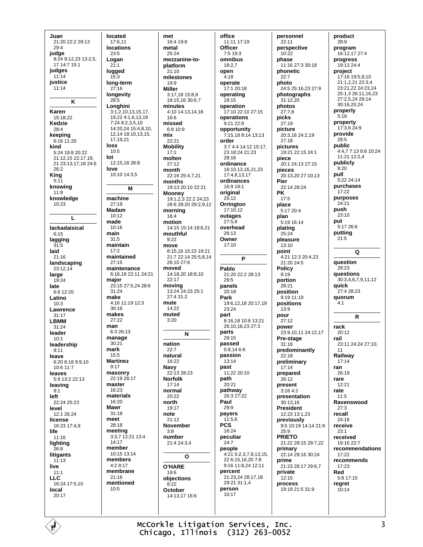Juan 21:20 22:2 28:13  $29:4$ judge 8:24 9:12.23 13:2.5.  $17.14:7.15:1$ judges  $11:14$ justice  $11:14$  $\overline{\mathbf{K}}$ Karen  $15:18.22$ Kedzie 28:4 keeping  $6:1611:20$ kind  $5.24$  19.8 20.22 21:12,15 22:17,19, 21 23:13.17.18 24:6  $26:2$ **King**  $5:11$ knowing  $11.8$ knowledge  $10:23$  $\mathbf{L}$ lackadaisical  $6.15$ lagging  $31.5$ laid 21:16 landscaping  $23.1214$ large  $19:24$ late 6:8 12:20 Latino  $10:3$ Lawrence  $31:17$ **LBMM**  $31:24$ leader  $10.1$ leadership  $9:11$ leave  $6:20.8:18.9:9.10$  $10.611.7$ leaves 5:9 13:2 22:13 leaving  $9:1$ left  $22.24.25.23$ level 12:1 26:24 license 16:23 17:4 9 life 11:16 lighting  $26:8$ litigants  $11:13$ live  $11:1$ **LLC** 16:24 17:5,10 local 20:17

located 17:6.11 **locations**  $23:5$ Logan  $21:1$ logged 15:3 long-term  $27.16$ longevity 28:5 Longhini  $3:1,2,10,13,15,17,$ 19.22 4:1.6.13.19 7:24 8:2.3.5.10  $14.20$   $24$   $15.4$   $8$   $10$ 12.14 18:10.13.15. 17 19 21 loss  $10:5$ lot 12:15.18 28:8 love  $10:10.14:3.5$ м machine  $27:19$ **Madam**  $10.12$ made 10:16 main  $31.5$ maintain  $17.2$ maintained  $27:15$ maintenance 6:16,19 22:11 24:21 major 23:15 27:5.24 28:6  $31:24$ make 4:16 11:19 12:3 30:16 makes  $27.22$ man 6:3 26:13 manage  $30:21$ mark  $15:5$ **Martinez**  $9:17$ masonry  $22.1926.17$ master  $16.23$ materials  $16:20$ Mawr  $31.18$ meet 28:18 meeting  $3:3.7$  12:21 13:4  $14.17$ member 10:15 13:14 members 4:2 8:17 membrane  $21.16$ mentioned  $10:5$ 

met 16:4 19:8 metal  $25.24$ mezzanine-toplatform  $21:10$ milestones  $10.0$ **Miller** 3:17,18 15:8,9 18:15,16 30:6,7 minutes 4:10 14:13,14,16  $16.6$ missed 6:8 10:9 mix  $22:21$ **Mobility**  $17:1$ molten  $27:12$ month  $22.1625.4721$ months 19:13 20:10 22:21 **Mooney** 19:1,2,3 22:2 24:23 26:6 28:20 29:2,9,12 morning  $16.4$ motion 14:15 15:14 18:6,21 mouthful  $9.22$ move 8:15,16 15:23 19:21 21:7 22:14 25:5,8,14 26:10 27:6 moved 14:18,20 18:8,10  $22:17$ moving 13:24 24:23 25:1  $27.4.31.2$ mute 14:22 muted  $3.20$ N nation  $22:7$ natural 16:22 Navy  $22:1328:23$ **Norfolk**  $17:14$ normal  $20:22$ north  $19.17$ note  $21:12$ **November**  $3.8$ number 21:4 24:3,4 O **O'HARE** 19:6 obiections  $8.22$ October 14:13,17 16:6

office 11:11 17:19 **Officer**  $7.519.3$ omnibus  $18.27$ open  $4:18$ operate  $17.120.18$ operating 19:15 operation 17:10 22:10 27:15 operations 9:21 22:9 opportunity 7:15,18 8:14 13:13 order  $3.74414.1215.17$ 23 18:24 21:23  $28.16$ ordinance 16:10,13,16,21,23 17:4.8.13.17 ordinances  $16.918.1$ original  $25:12$ Orrington  $17:10.12$ outages  $27:58$ overhead 26:13 Owner  $17:10$ Þ Pablo  $21.20222228.13$  $29.5$ panels  $20:18$ Park 19:6.12.18 20:17.19  $23.24$ part 8:16,18 10:8 13:21 26:10,16,23 27:3 parts 29:15 passed  $5.91466$ passion 13:14 past  $11:22.20:10$ path 20:21 pathway 26:3 27:22 Paul  $29:9$ payers  $11:5,6$ **PCS** 16:24 peculiar  $24:7$ people 4:21 5:2,3,7,9,13.15. 22 6:15,16,20 7:8 9:16 11:8.24 12:11 percent 21:23,24 28:17,18 29:21 31:1.4 person 10:17

personnel  $22:11$ perspective  $10.22$ phase 11:16 27:3 30:18 phonetic  $22:7$ photo 24:5 25:16 23 27:9 photographs  $31:12,20$ photos  $27:7.8$ picks 27:19 picture 20:3.16 24:2.19  $27.18$ pictures 19:21 22:15 24:1 piece 20:1 24:13 27:15 pieces 20:13,20 27:10,13 Pier  $22.1428.24$ **PK**  $17:5$ place  $5:1720:4$ plan 5:19 16:14 plating  $25:24$ pleasure  $13:10$ point 4:21 12:3 20:4,23 21:20 24:5 **Policy**  $9.19$ portion  $28.21$ position 9:19 11:19 positions  $13.9$ pour  $27:12$ power 23:9.10.11 24:12.17 Pre-stage  $31:16$ predominantly  $22.18$ preliminary  $17.14$ prepared 26:12 present  $3:164:2$ presentation  $30.1316$ **President** 12:23 13:1,23 previously 9.5 10:19 14:14 21:9  $25.9$ **PRIETO** 21:22 28:15 29:7,22 primary 22:14 29:16 30:24 prime 21:23 28:17 29:6 7 private  $12.15$ process  $19:1921:531:9$ 

product  $28:9$ program  $16.1217274$ progress 19:13 24:4 project 17:16 19:5,9,10 21:1,2,21 22:3,4 23:21,22 24:23,24 25:1 3 26:11 16 23  $27.252428.14$ 30:16.20.24 properly  $5.19$ property 17:3,6 24:9 provide  $28.5$ public 4:4,7 7:13 8:6 10:24 11:21 12:2,4 publicly  $8:20$ pull  $5.2224.14$ purchases 17:22 purposes  $24.21$ push  $23:10$ put 5:17 26:6 putting  $21:5$ Q question 28.23 questions 30:3.4.6.7.9.11.12 auick 27:4 28:23 quorum  $4.1$ R rack  $20:12$ rail 23:11 24:24 27:10, Railway  $17:14$ ran  $26.19$ rare 12:21 rate  $11:5$ Ravenswood  $27.3$ recall  $24:16$ receive  $23.1$ received 19:16 22:7 recommendations  $17.22$ recommends  $17.23$ Red 5:8 17:15 regret  $10.14$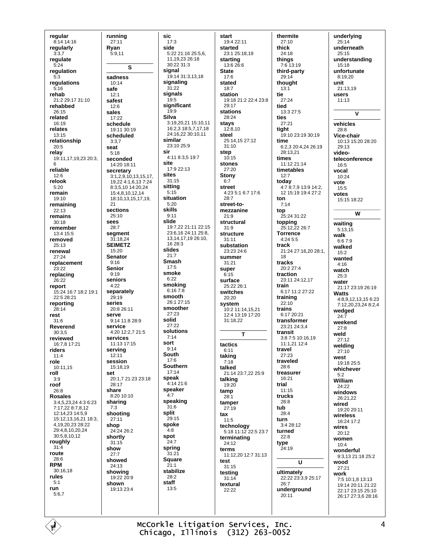regular 8:14 14:16 regularly  $3:37$ regulate  $5.24$ regulation  $5:3$ regulations  $5.16$ rehab 21:2 29:17 31:10 rehabbed 26:15 related 16:19 relates 13:15 relationship  $20:5$ relay 19:11, 17, 19, 23 20:3, 6 reliable  $12:6$ relook  $5:20$ remain 19:10 remaining  $22:13$ remains  $30.18$ remember 13:4 15:5 removed  $25:13$ renewal  $27:24$ replacement  $23.22$ replacing 26:22 report 15:24 16:7 18:2 19:1 22:5 28:21 reporting  $28.14$ rest  $31:6$ Reverend  $30:3.5$ reviewed 16:7,8 17:21 riders  $11.4$ role  $10:11.15$ roll  $3:9$ roof  $26:8$ **Rosales** 3:4,5,23,24 4:3 6:23 7:17.22 8:7.8.12 12:14,23 14:5,9 15:12,13,16,21 18:3, 4,19,20,23 28:22 29:4,8,10,20,24 30:5,8,10,12 roughly  $31-4$ route 28:6 **RPM** 30:16,18 rules  $5:1$ run  $5:6.7$ 

running  $27:11$ Rvan  $5.911$  $\mathbf{s}$ sadness  $10.14$ safe  $12:1$ safest  $12.6$ sales  $17.22$ schedule 19:11 30:19 scheduled  $3.37$ seat  $5:18$ seconded 14:20 18:11 secretary 3:1,2,9,10,13,15,17, 19,22 4:1,6,13 7:24 8:3.5.10 14:20.24 15:4,8,10,12,14 18:10,13,15,17,19,  $21$ sections  $25:10$ sees  $28:7$ segment 31:18,24 **SEIMETZ**  $15:20$ **Senator**  $9:16$ Senior  $9:19$ seniors  $4.22$ separately  $29:19$ series  $20.826.11$ serve  $9.1411.8289$ service 4:20 12:2.7 21:5 services 11:13 17:15 serving  $12.11$ session  $15.1819$ set 20:1,7 21:23 23:18 28:17 share 8:20 10:10 sharing  $7:3$ shooting 27:11 shop 24:24 26:2 shortly  $31:15$ show  $27:7$ showed  $24.13$ showing 19:22 20:9 shown  $19.132334$ 

sic  $17:3$ side 5:22 21:16 25:5.6. 11.19.23 26:18  $30.22.31.3$ signal 19:14 31:3,13,18 signaling  $31:22$ signals  $19:5$ significant  $19:9$ **Silva** 3:19.20.21 15:10.11  $16.2318.571718$ 24:16,22 30:10,11 similar 23:10 25:9 sir 4:11 8:3,5 19:7 site 17:9 22:13 sites  $31:15$ sitting  $5:15$ situation  $5:20$ skills  $9:11$ slide 19:7 22 21:11 22:15 23:6.16 24:11 25:8. 13, 14, 17, 19 26: 10,  $16.28:3$ slides  $21:7$ **Smash**  $17.5$ smoke  $6:22$ smoking  $6:167:8$ smooth 26:1 27:15 smoother  $27.23$ solid  $27.22$ solutions  $7.14$ sort  $9:14$ South  $17.6$ **Southern**  $17:14$ speak  $4.14216$ speaker  $4:7$ speaking  $31:6$ split  $29.15$ spoke  $4:8$ spot  $24:7$ spring  $31:21$ Square  $21:1$ stabilize  $28.2$ staff  $13:5$ 

start 19:4 22:11 started 23:1 25:18.19 starting 13:6 26:6 **State**  $17:6$ stated  $18.7$ station 19:18 21:2 22:4 23:8  $29.17$ stations  $28.24$ stays  $12:8.10$ steel 25:14,15 27:12  $31:10$ sten  $10.15$ stones 27:20 **Stony**  $6.7$ street 4:23 5:1 6:7 17:6  $28.7$ street-tomezzanine  $21.9$ structural  $31:9$ structure  $31:11$ substation  $23.23.24.6$ summer 31:21 super  $6.15$ surface 25:22 26:1 switches  $20:20$ system 10:2 11:14.15.21 12:4 13:19 17:20 31:18,22 Ŧ tactics  $6:11$ taking  $7.18$ talked 21:14 23:7,22 25:9 talking 19:20 tamp  $28.1$ tamper  $27:19$ tax  $11:5$ technology 5:18 11:12 22:5 23:7 terminating  $24.12$ terms 11:12.20 12:7 31:13 test  $31:15$ testina  $31.14$ textural  $22.22$ 

thermite  $27:10$ thick  $24.18$ things 7:6 13:19 third-party 29:14 thought  $13.1$ tie 27:24 heit 13:3 27:5 ties  $27:21$ tight 19:10 23:19 30:19 time 6:2,3 20:4,24 26:19  $28.1321$ times 11:12 21:14 timetables  $12:7$ today 4:7 8:7,9 13:9 14:2, 12 15:19 19:4 27:2 ton  $7.14$ top  $25.24.31.22$ topping 25:12,22 26:7 **Torrence** 4:24 5:5 track 21:24 27:16,20 28:1, 18 tracks  $20.2274$ traction 23:11 24:12.17 train 6.17 11.2 27.22 training  $22:10$ trains  $6.1720.21$ transformer 23:21 24:3,4 transit  $3.87510.1619$  $11.1211224$ travel  $27.23$ traveled  $28:6$ treasurer  $16.21$ trial  $11.15$ trucks  $28.8$ tub 28:4 turn 3:4 28:12 turned  $22:8$ type 24:19  $\mathbf{u}$ ultimately 22:22 23:3,9 25:17  $26.7$ underground 20:11

underlying  $25:14$ underneath  $25.15$ understanding 15:18 unfortunate 8:19,20 unit  $21.1319$ users  $11:13$  $\overline{\mathsf{v}}$ vehicles 28:8 Vice-chair 10:13 15:20 28:20  $29.13$ videoteleconference  $16:5$ vocal  $10:24$ vote  $15:5$ votes 15:15 18:22 W waiting  $5:13,15$ walk  $6:67:9$ walked  $15.2$ wanted  $4.16$ watch  $25.3$ water 21:17 23:19 26:19 **Watts** 4:8,9,12,13,15 6:23 7:12,20,23,24 8:2,4 wedged  $24:7$ weekend  $27:8$ weld  $27:12$ welding  $27:10$ west 19:18 25:5 whichever  $5.2$ William  $24.22$ windows  $26:21.22$ wired 19:20 20:11 wireless 16:24 17:2 wires  $20:12$ women  $10:4$ wonderful 9:3,13 21:18 25:2 hoow  $27.21$ work 7:5 10:1,8 13:13 19:14 20:11 21:22 22:17 23:15 25:10 26:17 27:3,6 28:16